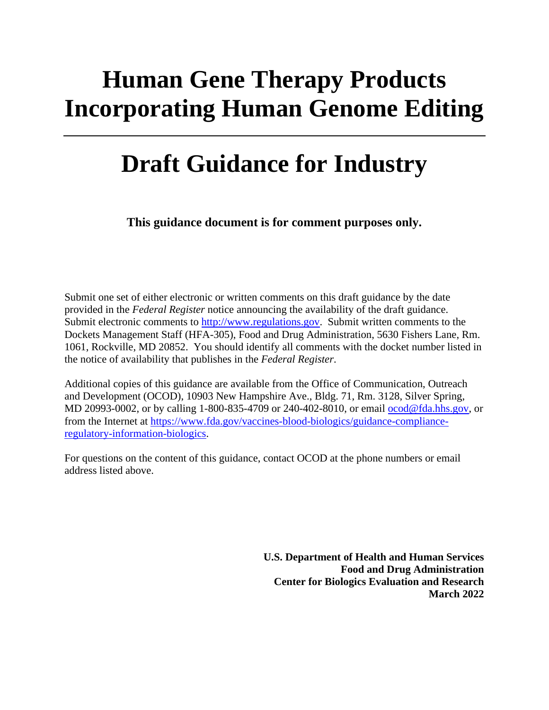# **Human Gene Therapy Products Incorporating Human Genome Editing**

# **Draft Guidance for Industry**

**This guidance document is for comment purposes only.**

Submit one set of either electronic or written comments on this draft guidance by the date provided in the *Federal Register* notice announcing the availability of the draft guidance. Submit electronic comments to [http://www.regulations.gov.](http://www.regulations.gov/) Submit written comments to the Dockets Management Staff (HFA-305), Food and Drug Administration, 5630 Fishers Lane, Rm. 1061, Rockville, MD 20852. You should identify all comments with the docket number listed in the notice of availability that publishes in the *Federal Register*.

Additional copies of this guidance are available from the Office of Communication, Outreach and Development (OCOD), 10903 New Hampshire Ave., Bldg. 71, Rm. 3128, Silver Spring, MD 20993-0002, or by calling 1-800-835-4709 or 240-402-8010, or email [ocod@fda.hhs.gov,](mailto:ocod@fda.hhs.gov) or from the Internet at [https://www.fda.gov/vaccines-blood-biologics/guidance-compliance](https://www.fda.gov/vaccines-blood-biologics/guidance-compliance-regulatory-information-biologics)[regulatory-information-biologics.](https://www.fda.gov/vaccines-blood-biologics/guidance-compliance-regulatory-information-biologics)

For questions on the content of this guidance, contact OCOD at the phone numbers or email address listed above.

> **U.S. Department of Health and Human Services Food and Drug Administration Center for Biologics Evaluation and Research March 2022**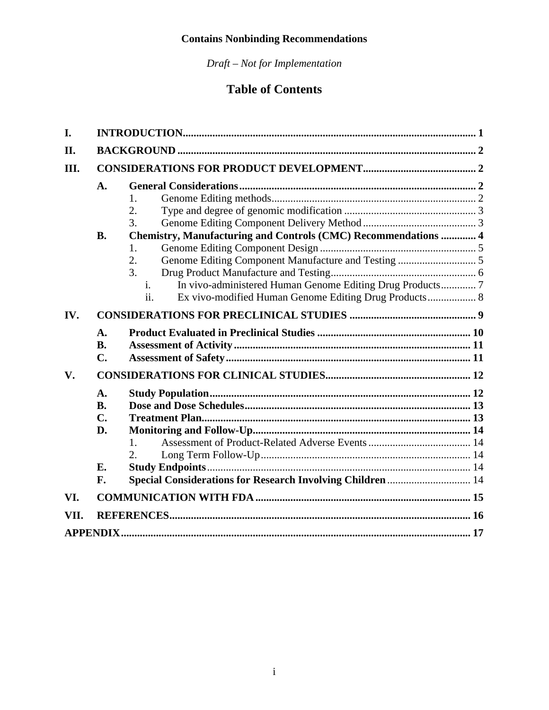*Draft – Not for Implementation*

## **Table of Contents**

| I.   |                                        |                                                                                        |  |
|------|----------------------------------------|----------------------------------------------------------------------------------------|--|
| II.  |                                        |                                                                                        |  |
| III. |                                        |                                                                                        |  |
|      | A.<br><b>B.</b>                        | 1.<br>2.<br>3.<br>Chemistry, Manufacturing and Controls (CMC) Recommendations  4<br>1. |  |
|      |                                        | 2.<br>3.<br>In vivo-administered Human Genome Editing Drug Products 7<br>i.<br>ii.     |  |
| IV.  |                                        |                                                                                        |  |
|      | A.<br><b>B.</b><br>C.                  |                                                                                        |  |
| V.   |                                        |                                                                                        |  |
|      | A.<br><b>B.</b><br>$C_{\bullet}$<br>D. | $\mathbf{1}$ .<br>2.                                                                   |  |
|      | E.<br>F.                               | Special Considerations for Research Involving Children  14                             |  |
| VI.  |                                        |                                                                                        |  |
|      |                                        |                                                                                        |  |
| VII. |                                        |                                                                                        |  |
|      |                                        |                                                                                        |  |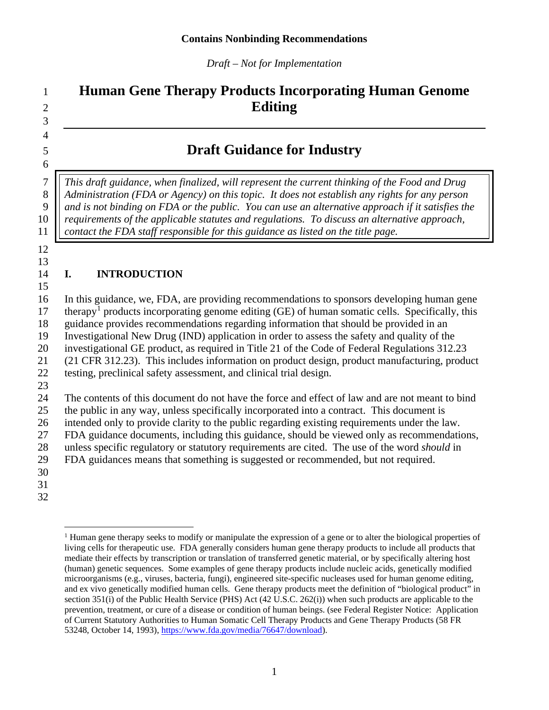*Draft – Not for Implementation*

## **Human Gene Therapy Products Incorporating Human Genome Editing**

## **Draft Guidance for Industry**

 *This draft guidance, when finalized, will represent the current thinking of the Food and Drug*  **Administration (FDA** or Agency) on this topic. It does not establish any rights for any person *and is not binding on FDA or the public. You can use an alternative approach if it satisfies the requirements of the applicable statutes and regulations. To discuss an alternative approach, contact the FDA staff responsible for this guidance as listed on the title page.* 

 

 

#### <span id="page-2-0"></span>**I. INTRODUCTION**

 In this guidance, we, FDA, are providing recommendations to sponsors developing human gene  $17$  therapy<sup>1</sup> products incorporating genome editing (GE) of human somatic cells. Specifically, this guidance provides recommendations regarding information that should be provided in an Investigational New Drug (IND) application in order to assess the safety and quality of the investigational GE product, as required in Title 21 of the Code of Federal Regulations 312.23 (21 CFR 312.23). This includes information on product design, product manufacturing, product testing, preclinical safety assessment, and clinical trial design. 

The contents of this document do not have the force and effect of law and are not meant to bind

the public in any way, unless specifically incorporated into a contract. This document is

 intended only to provide clarity to the public regarding existing requirements under the law. FDA guidance documents, including this guidance, should be viewed only as recommendations,

unless specific regulatory or statutory requirements are cited. The use of the word *should* in

FDA guidances means that something is suggested or recommended, but not required.

<span id="page-2-2"></span><span id="page-2-1"></span>

<sup>&</sup>lt;sup>1</sup> Human gene therapy seeks to modify or manipulate the expression of a gene or to alter the biological properties of living cells for therapeutic use. FDA generally considers human gene therapy products to include all products that mediate their effects by transcription or translation of transferred genetic material, or by specifically altering host (human) genetic sequences. Some examples of gene therapy products include nucleic acids, genetically modified microorganisms (e.g., viruses, bacteria, fungi), engineered site-specific nucleases used for human genome editing, and ex vivo genetically modified human cells. Gene therapy products meet the definition of "biological product" in section 351(i) of the Public Health Service (PHS) Act (42 U.S.C. 262(i)) when such products are applicable to the prevention, treatment, or cure of a disease or condition of human beings. (see Federal Register Notice: Application of Current Statutory Authorities to Human Somatic Cell Therapy Products and Gene Therapy Products (58 FR 53248, October 14, 1993), [https://www.fda.gov/media/76647/download\)](https://www.fda.gov/media/76647/download).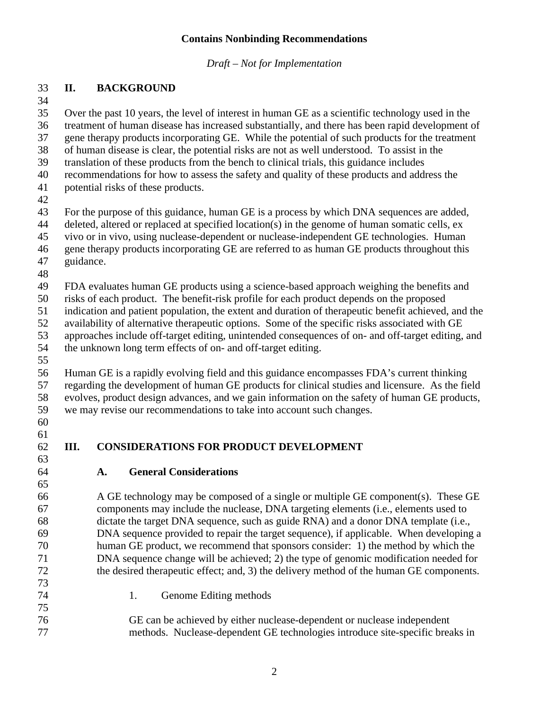*Draft – Not for Implementation*

#### **II. BACKGROUND**

 Over the past 10 years, the level of interest in human GE as a scientific technology used in the treatment of human disease has increased substantially, and there has been rapid development of

gene therapy products incorporating GE. While the potential of such products for the treatment

of human disease is clear, the potential risks are not as well understood. To assist in the

translation of these products from the bench to clinical trials, this guidance includes

recommendations for how to assess the safety and quality of these products and address the

- potential risks of these products.
- 

For the purpose of this guidance, human GE is a process by which DNA sequences are added,

- deleted, altered or replaced at specified location(s) in the genome of human somatic cells, ex
- vivo or in vivo, using nuclease-dependent or nuclease-independent GE technologies. Human
- gene therapy products incorporating GE are referred to as human GE products throughout this
- guidance.
- 

FDA evaluates human GE products using a science-based approach weighing the benefits and

risks of each product. The benefit-risk profile for each product depends on the proposed

indication and patient population, the extent and duration of therapeutic benefit achieved, and the

availability of alternative therapeutic options. Some of the specific risks associated with GE

approaches include off-target editing, unintended consequences of on- and off-target editing, and

- the unknown long term effects of on- and off-target editing.
- 

 Human GE is a rapidly evolving field and this guidance encompasses FDA's current thinking regarding the development of human GE products for clinical studies and licensure. As the field evolves, product design advances, and we gain information on the safety of human GE products, we may revise our recommendations to take into account such changes.

- 
- 
- 

# <span id="page-3-0"></span>**III. CONSIDERATIONS FOR PRODUCT DEVELOPMENT**

<span id="page-3-1"></span>**A. General Considerations**

 A GE technology may be composed of a single or multiple GE component(s). These GE components may include the nuclease, DNA targeting elements (i.e., elements used to dictate the target DNA sequence, such as guide RNA) and a donor DNA template (i.e., DNA sequence provided to repair the target sequence), if applicable. When developing a human GE product, we recommend that sponsors consider: 1) the method by which the DNA sequence change will be achieved; 2) the type of genomic modification needed for the desired therapeutic effect; and, 3) the delivery method of the human GE components.

<span id="page-3-2"></span> 1. Genome Editing methods GE can be achieved by either nuclease-dependent or nuclease independent methods. Nuclease-dependent GE technologies introduce site-specific breaks in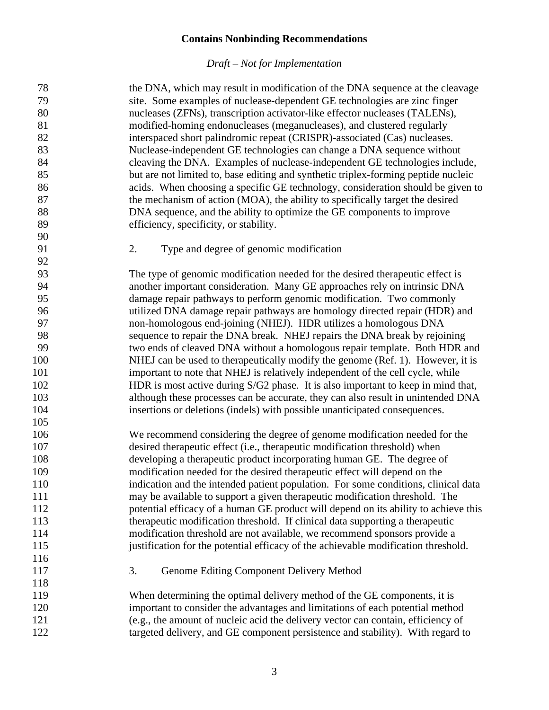<span id="page-4-1"></span><span id="page-4-0"></span>

| 78  | the DNA, which may result in modification of the DNA sequence at the cleavage       |
|-----|-------------------------------------------------------------------------------------|
| 79  | site. Some examples of nuclease-dependent GE technologies are zinc finger           |
| 80  | nucleases (ZFNs), transcription activator-like effector nucleases (TALENs),         |
| 81  | modified-homing endonucleases (meganucleases), and clustered regularly              |
| 82  | interspaced short palindromic repeat (CRISPR)-associated (Cas) nucleases.           |
| 83  | Nuclease-independent GE technologies can change a DNA sequence without              |
| 84  | cleaving the DNA. Examples of nuclease-independent GE technologies include,         |
| 85  | but are not limited to, base editing and synthetic triplex-forming peptide nucleic  |
| 86  | acids. When choosing a specific GE technology, consideration should be given to     |
| 87  | the mechanism of action (MOA), the ability to specifically target the desired       |
| 88  | DNA sequence, and the ability to optimize the GE components to improve              |
| 89  | efficiency, specificity, or stability.                                              |
| 90  |                                                                                     |
| 91  | 2.<br>Type and degree of genomic modification                                       |
| 92  |                                                                                     |
| 93  | The type of genomic modification needed for the desired therapeutic effect is       |
| 94  | another important consideration. Many GE approaches rely on intrinsic DNA           |
| 95  | damage repair pathways to perform genomic modification. Two commonly                |
| 96  | utilized DNA damage repair pathways are homology directed repair (HDR) and          |
| 97  | non-homologous end-joining (NHEJ). HDR utilizes a homologous DNA                    |
| 98  | sequence to repair the DNA break. NHEJ repairs the DNA break by rejoining           |
| 99  | two ends of cleaved DNA without a homologous repair template. Both HDR and          |
| 100 | NHEJ can be used to therapeutically modify the genome (Ref. 1). However, it is      |
| 101 | important to note that NHEJ is relatively independent of the cell cycle, while      |
| 102 | HDR is most active during S/G2 phase. It is also important to keep in mind that,    |
| 103 | although these processes can be accurate, they can also result in unintended DNA    |
| 104 | insertions or deletions (indels) with possible unanticipated consequences.          |
| 105 |                                                                                     |
| 106 | We recommend considering the degree of genome modification needed for the           |
| 107 | desired therapeutic effect (i.e., therapeutic modification threshold) when          |
| 108 | developing a therapeutic product incorporating human GE. The degree of              |
| 109 | modification needed for the desired therapeutic effect will depend on the           |
| 110 | indication and the intended patient population. For some conditions, clinical data  |
| 111 | may be available to support a given therapeutic modification threshold. The         |
| 112 | potential efficacy of a human GE product will depend on its ability to achieve this |
| 113 | therapeutic modification threshold. If clinical data supporting a therapeutic       |
| 114 | modification threshold are not available, we recommend sponsors provide a           |
| 115 | justification for the potential efficacy of the achievable modification threshold.  |
| 116 |                                                                                     |
| 117 | 3.<br>Genome Editing Component Delivery Method                                      |
| 118 |                                                                                     |
| 119 | When determining the optimal delivery method of the GE components, it is            |
| 120 | important to consider the advantages and limitations of each potential method       |
| 121 | (e.g., the amount of nucleic acid the delivery vector can contain, efficiency of    |
| 122 | targeted delivery, and GE component persistence and stability). With regard to      |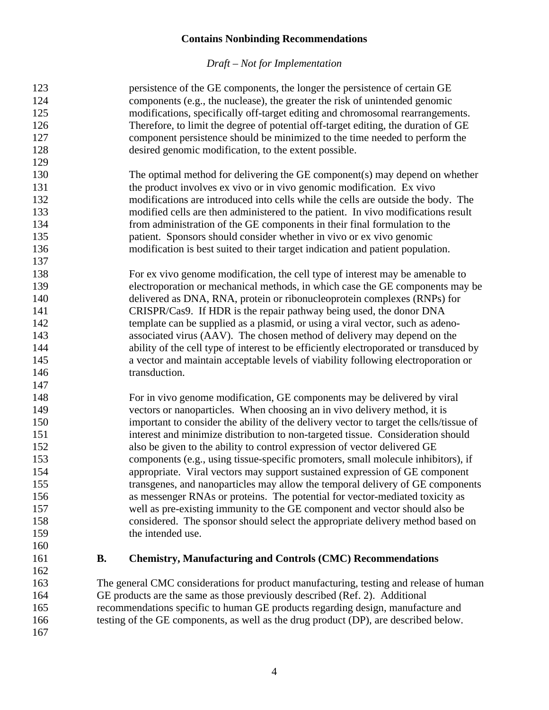<span id="page-5-0"></span>

| 123 |           | persistence of the GE components, the longer the persistence of certain GE             |
|-----|-----------|----------------------------------------------------------------------------------------|
| 124 |           | components (e.g., the nuclease), the greater the risk of unintended genomic            |
| 125 |           | modifications, specifically off-target editing and chromosomal rearrangements.         |
| 126 |           | Therefore, to limit the degree of potential off-target editing, the duration of GE     |
| 127 |           | component persistence should be minimized to the time needed to perform the            |
| 128 |           | desired genomic modification, to the extent possible.                                  |
| 129 |           |                                                                                        |
| 130 |           | The optimal method for delivering the GE component(s) may depend on whether            |
| 131 |           | the product involves ex vivo or in vivo genomic modification. Ex vivo                  |
| 132 |           | modifications are introduced into cells while the cells are outside the body. The      |
| 133 |           | modified cells are then administered to the patient. In vivo modifications result      |
| 134 |           |                                                                                        |
|     |           | from administration of the GE components in their final formulation to the             |
| 135 |           | patient. Sponsors should consider whether in vivo or ex vivo genomic                   |
| 136 |           | modification is best suited to their target indication and patient population.         |
| 137 |           |                                                                                        |
| 138 |           | For ex vivo genome modification, the cell type of interest may be amenable to          |
| 139 |           | electroporation or mechanical methods, in which case the GE components may be          |
| 140 |           | delivered as DNA, RNA, protein or ribonucleoprotein complexes (RNPs) for               |
| 141 |           | CRISPR/Cas9. If HDR is the repair pathway being used, the donor DNA                    |
| 142 |           | template can be supplied as a plasmid, or using a viral vector, such as adeno-         |
| 143 |           | associated virus (AAV). The chosen method of delivery may depend on the                |
| 144 |           | ability of the cell type of interest to be efficiently electroporated or transduced by |
| 145 |           | a vector and maintain acceptable levels of viability following electroporation or      |
| 146 |           | transduction.                                                                          |
| 147 |           |                                                                                        |
| 148 |           | For in vivo genome modification, GE components may be delivered by viral               |
| 149 |           | vectors or nanoparticles. When choosing an in vivo delivery method, it is              |
| 150 |           | important to consider the ability of the delivery vector to target the cells/tissue of |
| 151 |           | interest and minimize distribution to non-targeted tissue. Consideration should        |
| 152 |           | also be given to the ability to control expression of vector delivered GE              |
| 153 |           | components (e.g., using tissue-specific promoters, small molecule inhibitors), if      |
| 154 |           | appropriate. Viral vectors may support sustained expression of GE component            |
| 155 |           | transgenes, and nanoparticles may allow the temporal delivery of GE components         |
| 156 |           | as messenger RNAs or proteins. The potential for vector-mediated toxicity as           |
| 157 |           | well as pre-existing immunity to the GE component and vector should also be            |
| 158 |           | considered. The sponsor should select the appropriate delivery method based on         |
| 159 |           | the intended use.                                                                      |
| 160 |           |                                                                                        |
| 161 | <b>B.</b> | <b>Chemistry, Manufacturing and Controls (CMC) Recommendations</b>                     |
| 162 |           |                                                                                        |
| 163 |           | The general CMC considerations for product manufacturing, testing and release of human |
| 164 |           | GE products are the same as those previously described (Ref. 2). Additional            |
| 165 |           | recommendations specific to human GE products regarding design, manufacture and        |
| 166 |           | testing of the GE components, as well as the drug product (DP), are described below.   |
| 167 |           |                                                                                        |
|     |           |                                                                                        |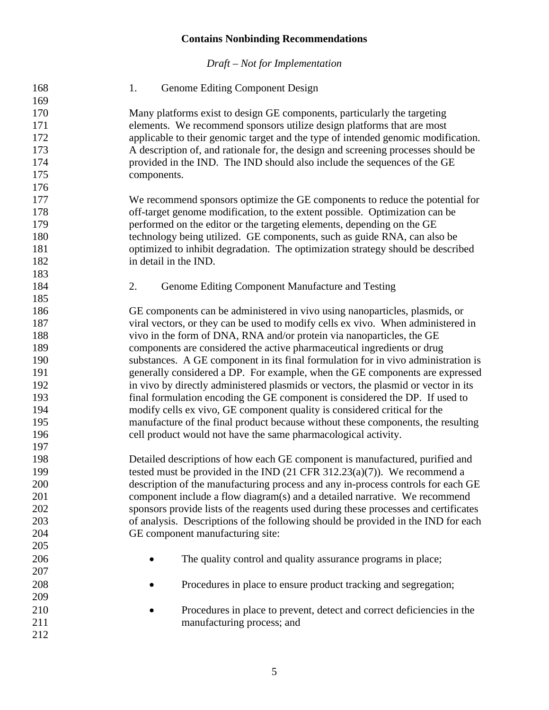<span id="page-6-1"></span><span id="page-6-0"></span>

| 168 | Genome Editing Component Design<br>1.                                                |
|-----|--------------------------------------------------------------------------------------|
| 169 |                                                                                      |
| 170 | Many platforms exist to design GE components, particularly the targeting             |
| 171 | elements. We recommend sponsors utilize design platforms that are most               |
| 172 | applicable to their genomic target and the type of intended genomic modification.    |
| 173 | A description of, and rationale for, the design and screening processes should be    |
| 174 | provided in the IND. The IND should also include the sequences of the GE             |
| 175 | components.                                                                          |
| 176 |                                                                                      |
| 177 | We recommend sponsors optimize the GE components to reduce the potential for         |
| 178 | off-target genome modification, to the extent possible. Optimization can be          |
| 179 | performed on the editor or the targeting elements, depending on the GE               |
| 180 | technology being utilized. GE components, such as guide RNA, can also be             |
| 181 | optimized to inhibit degradation. The optimization strategy should be described      |
| 182 | in detail in the IND.                                                                |
| 183 |                                                                                      |
| 184 | 2.<br>Genome Editing Component Manufacture and Testing                               |
| 185 |                                                                                      |
| 186 | GE components can be administered in vivo using nanoparticles, plasmids, or          |
| 187 | viral vectors, or they can be used to modify cells ex vivo. When administered in     |
| 188 | vivo in the form of DNA, RNA and/or protein via nanoparticles, the GE                |
| 189 | components are considered the active pharmaceutical ingredients or drug              |
| 190 | substances. A GE component in its final formulation for in vivo administration is    |
| 191 | generally considered a DP. For example, when the GE components are expressed         |
| 192 | in vivo by directly administered plasmids or vectors, the plasmid or vector in its   |
| 193 | final formulation encoding the GE component is considered the DP. If used to         |
| 194 | modify cells ex vivo, GE component quality is considered critical for the            |
| 195 | manufacture of the final product because without these components, the resulting     |
| 196 | cell product would not have the same pharmacological activity.                       |
| 197 |                                                                                      |
| 198 | Detailed descriptions of how each GE component is manufactured, purified and         |
| 199 | tested must be provided in the IND $(21 \text{ CFR } 312.23(a)(7))$ . We recommend a |
| 200 | description of the manufacturing process and any in-process controls for each GE     |
| 201 | component include a flow diagram(s) and a detailed narrative. We recommend           |
| 202 | sponsors provide lists of the reagents used during these processes and certificates  |
| 203 | of analysis. Descriptions of the following should be provided in the IND for each    |
| 204 | GE component manufacturing site:                                                     |
| 205 |                                                                                      |
| 206 | The quality control and quality assurance programs in place;                         |
| 207 |                                                                                      |
| 208 | Procedures in place to ensure product tracking and segregation;                      |
| 209 |                                                                                      |
| 210 | Procedures in place to prevent, detect and correct deficiencies in the               |
| 211 | manufacturing process; and                                                           |
| 212 |                                                                                      |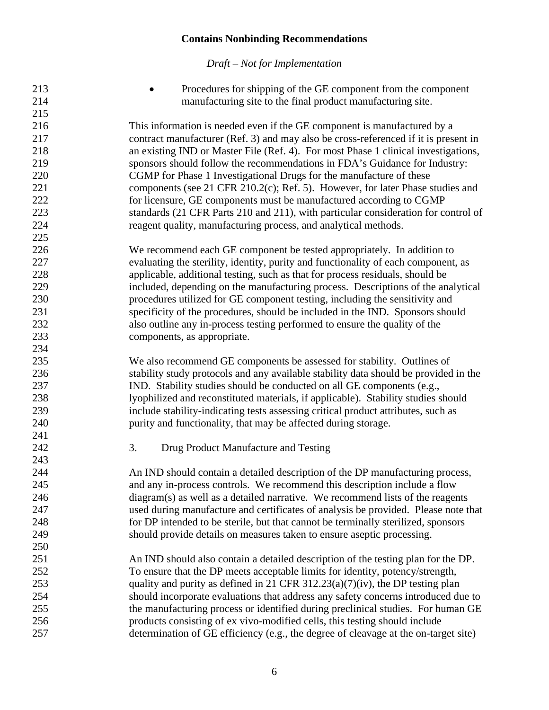<span id="page-7-0"></span>

| 215<br>216<br>This information is needed even if the GE component is manufactured by a<br>contract manufacturer (Ref. 3) and may also be cross-referenced if it is present in<br>217<br>218<br>an existing IND or Master File (Ref. 4). For most Phase 1 clinical investigations,<br>219<br>sponsors should follow the recommendations in FDA's Guidance for Industry:<br>220<br>CGMP for Phase 1 Investigational Drugs for the manufacture of these<br>221<br>components (see 21 CFR 210.2(c); Ref. 5). However, for later Phase studies and<br>222<br>for licensure, GE components must be manufactured according to CGMP<br>223<br>standards (21 CFR Parts 210 and 211), with particular consideration for control of<br>224<br>reagent quality, manufacturing process, and analytical methods.<br>225<br>226<br>We recommend each GE component be tested appropriately. In addition to<br>227<br>evaluating the sterility, identity, purity and functionality of each component, as<br>228<br>applicable, additional testing, such as that for process residuals, should be<br>229<br>included, depending on the manufacturing process. Descriptions of the analytical<br>230<br>procedures utilized for GE component testing, including the sensitivity and<br>231<br>specificity of the procedures, should be included in the IND. Sponsors should<br>232<br>also outline any in-process testing performed to ensure the quality of the<br>233<br>components, as appropriate.<br>234<br>235<br>We also recommend GE components be assessed for stability. Outlines of<br>236<br>stability study protocols and any available stability data should be provided in the<br>237<br>IND. Stability studies should be conducted on all GE components (e.g.,<br>238<br>lyophilized and reconstituted materials, if applicable). Stability studies should<br>239<br>include stability-indicating tests assessing critical product attributes, such as<br>240<br>purity and functionality, that may be affected during storage.<br>241<br>242<br>3.<br>Drug Product Manufacture and Testing<br>243<br>244<br>An IND should contain a detailed description of the DP manufacturing process,<br>245<br>and any in-process controls. We recommend this description include a flow<br>246<br>diagram(s) as well as a detailed narrative. We recommend lists of the reagents<br>247<br>used during manufacture and certificates of analysis be provided. Please note that<br>248<br>for DP intended to be sterile, but that cannot be terminally sterilized, sponsors<br>249<br>should provide details on measures taken to ensure aseptic processing.<br>250<br>251<br>An IND should also contain a detailed description of the testing plan for the DP.<br>252<br>To ensure that the DP meets acceptable limits for identity, potency/strength,<br>253<br>quality and purity as defined in 21 CFR $312.23(a)(7)(iv)$ , the DP testing plan<br>254<br>should incorporate evaluations that address any safety concerns introduced due to<br>255<br>the manufacturing process or identified during preclinical studies. For human GE<br>256<br>products consisting of ex vivo-modified cells, this testing should include<br>257<br>determination of GE efficiency (e.g., the degree of cleavage at the on-target site) | 213<br>214 | Procedures for shipping of the GE component from the component<br>manufacturing site to the final product manufacturing site. |
|----------------------------------------------------------------------------------------------------------------------------------------------------------------------------------------------------------------------------------------------------------------------------------------------------------------------------------------------------------------------------------------------------------------------------------------------------------------------------------------------------------------------------------------------------------------------------------------------------------------------------------------------------------------------------------------------------------------------------------------------------------------------------------------------------------------------------------------------------------------------------------------------------------------------------------------------------------------------------------------------------------------------------------------------------------------------------------------------------------------------------------------------------------------------------------------------------------------------------------------------------------------------------------------------------------------------------------------------------------------------------------------------------------------------------------------------------------------------------------------------------------------------------------------------------------------------------------------------------------------------------------------------------------------------------------------------------------------------------------------------------------------------------------------------------------------------------------------------------------------------------------------------------------------------------------------------------------------------------------------------------------------------------------------------------------------------------------------------------------------------------------------------------------------------------------------------------------------------------------------------------------------------------------------------------------------------------------------------------------------------------------------------------------------------------------------------------------------------------------------------------------------------------------------------------------------------------------------------------------------------------------------------------------------------------------------------------------------------------------------------------------------------------------------------------------------------------------------------------------------------------------------------------------------------------------------------------------------------------------------------------------------------------------------------------------------------------------------------------------------------------------------------------------------------------------------------------------------------------------------------------------------------------------------------------------------|------------|-------------------------------------------------------------------------------------------------------------------------------|
|                                                                                                                                                                                                                                                                                                                                                                                                                                                                                                                                                                                                                                                                                                                                                                                                                                                                                                                                                                                                                                                                                                                                                                                                                                                                                                                                                                                                                                                                                                                                                                                                                                                                                                                                                                                                                                                                                                                                                                                                                                                                                                                                                                                                                                                                                                                                                                                                                                                                                                                                                                                                                                                                                                                                                                                                                                                                                                                                                                                                                                                                                                                                                                                                                                                                                                                |            |                                                                                                                               |
|                                                                                                                                                                                                                                                                                                                                                                                                                                                                                                                                                                                                                                                                                                                                                                                                                                                                                                                                                                                                                                                                                                                                                                                                                                                                                                                                                                                                                                                                                                                                                                                                                                                                                                                                                                                                                                                                                                                                                                                                                                                                                                                                                                                                                                                                                                                                                                                                                                                                                                                                                                                                                                                                                                                                                                                                                                                                                                                                                                                                                                                                                                                                                                                                                                                                                                                |            |                                                                                                                               |
|                                                                                                                                                                                                                                                                                                                                                                                                                                                                                                                                                                                                                                                                                                                                                                                                                                                                                                                                                                                                                                                                                                                                                                                                                                                                                                                                                                                                                                                                                                                                                                                                                                                                                                                                                                                                                                                                                                                                                                                                                                                                                                                                                                                                                                                                                                                                                                                                                                                                                                                                                                                                                                                                                                                                                                                                                                                                                                                                                                                                                                                                                                                                                                                                                                                                                                                |            |                                                                                                                               |
|                                                                                                                                                                                                                                                                                                                                                                                                                                                                                                                                                                                                                                                                                                                                                                                                                                                                                                                                                                                                                                                                                                                                                                                                                                                                                                                                                                                                                                                                                                                                                                                                                                                                                                                                                                                                                                                                                                                                                                                                                                                                                                                                                                                                                                                                                                                                                                                                                                                                                                                                                                                                                                                                                                                                                                                                                                                                                                                                                                                                                                                                                                                                                                                                                                                                                                                |            |                                                                                                                               |
|                                                                                                                                                                                                                                                                                                                                                                                                                                                                                                                                                                                                                                                                                                                                                                                                                                                                                                                                                                                                                                                                                                                                                                                                                                                                                                                                                                                                                                                                                                                                                                                                                                                                                                                                                                                                                                                                                                                                                                                                                                                                                                                                                                                                                                                                                                                                                                                                                                                                                                                                                                                                                                                                                                                                                                                                                                                                                                                                                                                                                                                                                                                                                                                                                                                                                                                |            |                                                                                                                               |
|                                                                                                                                                                                                                                                                                                                                                                                                                                                                                                                                                                                                                                                                                                                                                                                                                                                                                                                                                                                                                                                                                                                                                                                                                                                                                                                                                                                                                                                                                                                                                                                                                                                                                                                                                                                                                                                                                                                                                                                                                                                                                                                                                                                                                                                                                                                                                                                                                                                                                                                                                                                                                                                                                                                                                                                                                                                                                                                                                                                                                                                                                                                                                                                                                                                                                                                |            |                                                                                                                               |
|                                                                                                                                                                                                                                                                                                                                                                                                                                                                                                                                                                                                                                                                                                                                                                                                                                                                                                                                                                                                                                                                                                                                                                                                                                                                                                                                                                                                                                                                                                                                                                                                                                                                                                                                                                                                                                                                                                                                                                                                                                                                                                                                                                                                                                                                                                                                                                                                                                                                                                                                                                                                                                                                                                                                                                                                                                                                                                                                                                                                                                                                                                                                                                                                                                                                                                                |            |                                                                                                                               |
|                                                                                                                                                                                                                                                                                                                                                                                                                                                                                                                                                                                                                                                                                                                                                                                                                                                                                                                                                                                                                                                                                                                                                                                                                                                                                                                                                                                                                                                                                                                                                                                                                                                                                                                                                                                                                                                                                                                                                                                                                                                                                                                                                                                                                                                                                                                                                                                                                                                                                                                                                                                                                                                                                                                                                                                                                                                                                                                                                                                                                                                                                                                                                                                                                                                                                                                |            |                                                                                                                               |
|                                                                                                                                                                                                                                                                                                                                                                                                                                                                                                                                                                                                                                                                                                                                                                                                                                                                                                                                                                                                                                                                                                                                                                                                                                                                                                                                                                                                                                                                                                                                                                                                                                                                                                                                                                                                                                                                                                                                                                                                                                                                                                                                                                                                                                                                                                                                                                                                                                                                                                                                                                                                                                                                                                                                                                                                                                                                                                                                                                                                                                                                                                                                                                                                                                                                                                                |            |                                                                                                                               |
|                                                                                                                                                                                                                                                                                                                                                                                                                                                                                                                                                                                                                                                                                                                                                                                                                                                                                                                                                                                                                                                                                                                                                                                                                                                                                                                                                                                                                                                                                                                                                                                                                                                                                                                                                                                                                                                                                                                                                                                                                                                                                                                                                                                                                                                                                                                                                                                                                                                                                                                                                                                                                                                                                                                                                                                                                                                                                                                                                                                                                                                                                                                                                                                                                                                                                                                |            |                                                                                                                               |
|                                                                                                                                                                                                                                                                                                                                                                                                                                                                                                                                                                                                                                                                                                                                                                                                                                                                                                                                                                                                                                                                                                                                                                                                                                                                                                                                                                                                                                                                                                                                                                                                                                                                                                                                                                                                                                                                                                                                                                                                                                                                                                                                                                                                                                                                                                                                                                                                                                                                                                                                                                                                                                                                                                                                                                                                                                                                                                                                                                                                                                                                                                                                                                                                                                                                                                                |            |                                                                                                                               |
|                                                                                                                                                                                                                                                                                                                                                                                                                                                                                                                                                                                                                                                                                                                                                                                                                                                                                                                                                                                                                                                                                                                                                                                                                                                                                                                                                                                                                                                                                                                                                                                                                                                                                                                                                                                                                                                                                                                                                                                                                                                                                                                                                                                                                                                                                                                                                                                                                                                                                                                                                                                                                                                                                                                                                                                                                                                                                                                                                                                                                                                                                                                                                                                                                                                                                                                |            |                                                                                                                               |
|                                                                                                                                                                                                                                                                                                                                                                                                                                                                                                                                                                                                                                                                                                                                                                                                                                                                                                                                                                                                                                                                                                                                                                                                                                                                                                                                                                                                                                                                                                                                                                                                                                                                                                                                                                                                                                                                                                                                                                                                                                                                                                                                                                                                                                                                                                                                                                                                                                                                                                                                                                                                                                                                                                                                                                                                                                                                                                                                                                                                                                                                                                                                                                                                                                                                                                                |            |                                                                                                                               |
|                                                                                                                                                                                                                                                                                                                                                                                                                                                                                                                                                                                                                                                                                                                                                                                                                                                                                                                                                                                                                                                                                                                                                                                                                                                                                                                                                                                                                                                                                                                                                                                                                                                                                                                                                                                                                                                                                                                                                                                                                                                                                                                                                                                                                                                                                                                                                                                                                                                                                                                                                                                                                                                                                                                                                                                                                                                                                                                                                                                                                                                                                                                                                                                                                                                                                                                |            |                                                                                                                               |
|                                                                                                                                                                                                                                                                                                                                                                                                                                                                                                                                                                                                                                                                                                                                                                                                                                                                                                                                                                                                                                                                                                                                                                                                                                                                                                                                                                                                                                                                                                                                                                                                                                                                                                                                                                                                                                                                                                                                                                                                                                                                                                                                                                                                                                                                                                                                                                                                                                                                                                                                                                                                                                                                                                                                                                                                                                                                                                                                                                                                                                                                                                                                                                                                                                                                                                                |            |                                                                                                                               |
|                                                                                                                                                                                                                                                                                                                                                                                                                                                                                                                                                                                                                                                                                                                                                                                                                                                                                                                                                                                                                                                                                                                                                                                                                                                                                                                                                                                                                                                                                                                                                                                                                                                                                                                                                                                                                                                                                                                                                                                                                                                                                                                                                                                                                                                                                                                                                                                                                                                                                                                                                                                                                                                                                                                                                                                                                                                                                                                                                                                                                                                                                                                                                                                                                                                                                                                |            |                                                                                                                               |
|                                                                                                                                                                                                                                                                                                                                                                                                                                                                                                                                                                                                                                                                                                                                                                                                                                                                                                                                                                                                                                                                                                                                                                                                                                                                                                                                                                                                                                                                                                                                                                                                                                                                                                                                                                                                                                                                                                                                                                                                                                                                                                                                                                                                                                                                                                                                                                                                                                                                                                                                                                                                                                                                                                                                                                                                                                                                                                                                                                                                                                                                                                                                                                                                                                                                                                                |            |                                                                                                                               |
|                                                                                                                                                                                                                                                                                                                                                                                                                                                                                                                                                                                                                                                                                                                                                                                                                                                                                                                                                                                                                                                                                                                                                                                                                                                                                                                                                                                                                                                                                                                                                                                                                                                                                                                                                                                                                                                                                                                                                                                                                                                                                                                                                                                                                                                                                                                                                                                                                                                                                                                                                                                                                                                                                                                                                                                                                                                                                                                                                                                                                                                                                                                                                                                                                                                                                                                |            |                                                                                                                               |
|                                                                                                                                                                                                                                                                                                                                                                                                                                                                                                                                                                                                                                                                                                                                                                                                                                                                                                                                                                                                                                                                                                                                                                                                                                                                                                                                                                                                                                                                                                                                                                                                                                                                                                                                                                                                                                                                                                                                                                                                                                                                                                                                                                                                                                                                                                                                                                                                                                                                                                                                                                                                                                                                                                                                                                                                                                                                                                                                                                                                                                                                                                                                                                                                                                                                                                                |            |                                                                                                                               |
|                                                                                                                                                                                                                                                                                                                                                                                                                                                                                                                                                                                                                                                                                                                                                                                                                                                                                                                                                                                                                                                                                                                                                                                                                                                                                                                                                                                                                                                                                                                                                                                                                                                                                                                                                                                                                                                                                                                                                                                                                                                                                                                                                                                                                                                                                                                                                                                                                                                                                                                                                                                                                                                                                                                                                                                                                                                                                                                                                                                                                                                                                                                                                                                                                                                                                                                |            |                                                                                                                               |
|                                                                                                                                                                                                                                                                                                                                                                                                                                                                                                                                                                                                                                                                                                                                                                                                                                                                                                                                                                                                                                                                                                                                                                                                                                                                                                                                                                                                                                                                                                                                                                                                                                                                                                                                                                                                                                                                                                                                                                                                                                                                                                                                                                                                                                                                                                                                                                                                                                                                                                                                                                                                                                                                                                                                                                                                                                                                                                                                                                                                                                                                                                                                                                                                                                                                                                                |            |                                                                                                                               |
|                                                                                                                                                                                                                                                                                                                                                                                                                                                                                                                                                                                                                                                                                                                                                                                                                                                                                                                                                                                                                                                                                                                                                                                                                                                                                                                                                                                                                                                                                                                                                                                                                                                                                                                                                                                                                                                                                                                                                                                                                                                                                                                                                                                                                                                                                                                                                                                                                                                                                                                                                                                                                                                                                                                                                                                                                                                                                                                                                                                                                                                                                                                                                                                                                                                                                                                |            |                                                                                                                               |
|                                                                                                                                                                                                                                                                                                                                                                                                                                                                                                                                                                                                                                                                                                                                                                                                                                                                                                                                                                                                                                                                                                                                                                                                                                                                                                                                                                                                                                                                                                                                                                                                                                                                                                                                                                                                                                                                                                                                                                                                                                                                                                                                                                                                                                                                                                                                                                                                                                                                                                                                                                                                                                                                                                                                                                                                                                                                                                                                                                                                                                                                                                                                                                                                                                                                                                                |            |                                                                                                                               |
|                                                                                                                                                                                                                                                                                                                                                                                                                                                                                                                                                                                                                                                                                                                                                                                                                                                                                                                                                                                                                                                                                                                                                                                                                                                                                                                                                                                                                                                                                                                                                                                                                                                                                                                                                                                                                                                                                                                                                                                                                                                                                                                                                                                                                                                                                                                                                                                                                                                                                                                                                                                                                                                                                                                                                                                                                                                                                                                                                                                                                                                                                                                                                                                                                                                                                                                |            |                                                                                                                               |
|                                                                                                                                                                                                                                                                                                                                                                                                                                                                                                                                                                                                                                                                                                                                                                                                                                                                                                                                                                                                                                                                                                                                                                                                                                                                                                                                                                                                                                                                                                                                                                                                                                                                                                                                                                                                                                                                                                                                                                                                                                                                                                                                                                                                                                                                                                                                                                                                                                                                                                                                                                                                                                                                                                                                                                                                                                                                                                                                                                                                                                                                                                                                                                                                                                                                                                                |            |                                                                                                                               |
|                                                                                                                                                                                                                                                                                                                                                                                                                                                                                                                                                                                                                                                                                                                                                                                                                                                                                                                                                                                                                                                                                                                                                                                                                                                                                                                                                                                                                                                                                                                                                                                                                                                                                                                                                                                                                                                                                                                                                                                                                                                                                                                                                                                                                                                                                                                                                                                                                                                                                                                                                                                                                                                                                                                                                                                                                                                                                                                                                                                                                                                                                                                                                                                                                                                                                                                |            |                                                                                                                               |
|                                                                                                                                                                                                                                                                                                                                                                                                                                                                                                                                                                                                                                                                                                                                                                                                                                                                                                                                                                                                                                                                                                                                                                                                                                                                                                                                                                                                                                                                                                                                                                                                                                                                                                                                                                                                                                                                                                                                                                                                                                                                                                                                                                                                                                                                                                                                                                                                                                                                                                                                                                                                                                                                                                                                                                                                                                                                                                                                                                                                                                                                                                                                                                                                                                                                                                                |            |                                                                                                                               |
|                                                                                                                                                                                                                                                                                                                                                                                                                                                                                                                                                                                                                                                                                                                                                                                                                                                                                                                                                                                                                                                                                                                                                                                                                                                                                                                                                                                                                                                                                                                                                                                                                                                                                                                                                                                                                                                                                                                                                                                                                                                                                                                                                                                                                                                                                                                                                                                                                                                                                                                                                                                                                                                                                                                                                                                                                                                                                                                                                                                                                                                                                                                                                                                                                                                                                                                |            |                                                                                                                               |
|                                                                                                                                                                                                                                                                                                                                                                                                                                                                                                                                                                                                                                                                                                                                                                                                                                                                                                                                                                                                                                                                                                                                                                                                                                                                                                                                                                                                                                                                                                                                                                                                                                                                                                                                                                                                                                                                                                                                                                                                                                                                                                                                                                                                                                                                                                                                                                                                                                                                                                                                                                                                                                                                                                                                                                                                                                                                                                                                                                                                                                                                                                                                                                                                                                                                                                                |            |                                                                                                                               |
|                                                                                                                                                                                                                                                                                                                                                                                                                                                                                                                                                                                                                                                                                                                                                                                                                                                                                                                                                                                                                                                                                                                                                                                                                                                                                                                                                                                                                                                                                                                                                                                                                                                                                                                                                                                                                                                                                                                                                                                                                                                                                                                                                                                                                                                                                                                                                                                                                                                                                                                                                                                                                                                                                                                                                                                                                                                                                                                                                                                                                                                                                                                                                                                                                                                                                                                |            |                                                                                                                               |
|                                                                                                                                                                                                                                                                                                                                                                                                                                                                                                                                                                                                                                                                                                                                                                                                                                                                                                                                                                                                                                                                                                                                                                                                                                                                                                                                                                                                                                                                                                                                                                                                                                                                                                                                                                                                                                                                                                                                                                                                                                                                                                                                                                                                                                                                                                                                                                                                                                                                                                                                                                                                                                                                                                                                                                                                                                                                                                                                                                                                                                                                                                                                                                                                                                                                                                                |            |                                                                                                                               |
|                                                                                                                                                                                                                                                                                                                                                                                                                                                                                                                                                                                                                                                                                                                                                                                                                                                                                                                                                                                                                                                                                                                                                                                                                                                                                                                                                                                                                                                                                                                                                                                                                                                                                                                                                                                                                                                                                                                                                                                                                                                                                                                                                                                                                                                                                                                                                                                                                                                                                                                                                                                                                                                                                                                                                                                                                                                                                                                                                                                                                                                                                                                                                                                                                                                                                                                |            |                                                                                                                               |
|                                                                                                                                                                                                                                                                                                                                                                                                                                                                                                                                                                                                                                                                                                                                                                                                                                                                                                                                                                                                                                                                                                                                                                                                                                                                                                                                                                                                                                                                                                                                                                                                                                                                                                                                                                                                                                                                                                                                                                                                                                                                                                                                                                                                                                                                                                                                                                                                                                                                                                                                                                                                                                                                                                                                                                                                                                                                                                                                                                                                                                                                                                                                                                                                                                                                                                                |            |                                                                                                                               |
|                                                                                                                                                                                                                                                                                                                                                                                                                                                                                                                                                                                                                                                                                                                                                                                                                                                                                                                                                                                                                                                                                                                                                                                                                                                                                                                                                                                                                                                                                                                                                                                                                                                                                                                                                                                                                                                                                                                                                                                                                                                                                                                                                                                                                                                                                                                                                                                                                                                                                                                                                                                                                                                                                                                                                                                                                                                                                                                                                                                                                                                                                                                                                                                                                                                                                                                |            |                                                                                                                               |
|                                                                                                                                                                                                                                                                                                                                                                                                                                                                                                                                                                                                                                                                                                                                                                                                                                                                                                                                                                                                                                                                                                                                                                                                                                                                                                                                                                                                                                                                                                                                                                                                                                                                                                                                                                                                                                                                                                                                                                                                                                                                                                                                                                                                                                                                                                                                                                                                                                                                                                                                                                                                                                                                                                                                                                                                                                                                                                                                                                                                                                                                                                                                                                                                                                                                                                                |            |                                                                                                                               |
|                                                                                                                                                                                                                                                                                                                                                                                                                                                                                                                                                                                                                                                                                                                                                                                                                                                                                                                                                                                                                                                                                                                                                                                                                                                                                                                                                                                                                                                                                                                                                                                                                                                                                                                                                                                                                                                                                                                                                                                                                                                                                                                                                                                                                                                                                                                                                                                                                                                                                                                                                                                                                                                                                                                                                                                                                                                                                                                                                                                                                                                                                                                                                                                                                                                                                                                |            |                                                                                                                               |
|                                                                                                                                                                                                                                                                                                                                                                                                                                                                                                                                                                                                                                                                                                                                                                                                                                                                                                                                                                                                                                                                                                                                                                                                                                                                                                                                                                                                                                                                                                                                                                                                                                                                                                                                                                                                                                                                                                                                                                                                                                                                                                                                                                                                                                                                                                                                                                                                                                                                                                                                                                                                                                                                                                                                                                                                                                                                                                                                                                                                                                                                                                                                                                                                                                                                                                                |            |                                                                                                                               |
|                                                                                                                                                                                                                                                                                                                                                                                                                                                                                                                                                                                                                                                                                                                                                                                                                                                                                                                                                                                                                                                                                                                                                                                                                                                                                                                                                                                                                                                                                                                                                                                                                                                                                                                                                                                                                                                                                                                                                                                                                                                                                                                                                                                                                                                                                                                                                                                                                                                                                                                                                                                                                                                                                                                                                                                                                                                                                                                                                                                                                                                                                                                                                                                                                                                                                                                |            |                                                                                                                               |
|                                                                                                                                                                                                                                                                                                                                                                                                                                                                                                                                                                                                                                                                                                                                                                                                                                                                                                                                                                                                                                                                                                                                                                                                                                                                                                                                                                                                                                                                                                                                                                                                                                                                                                                                                                                                                                                                                                                                                                                                                                                                                                                                                                                                                                                                                                                                                                                                                                                                                                                                                                                                                                                                                                                                                                                                                                                                                                                                                                                                                                                                                                                                                                                                                                                                                                                |            |                                                                                                                               |
|                                                                                                                                                                                                                                                                                                                                                                                                                                                                                                                                                                                                                                                                                                                                                                                                                                                                                                                                                                                                                                                                                                                                                                                                                                                                                                                                                                                                                                                                                                                                                                                                                                                                                                                                                                                                                                                                                                                                                                                                                                                                                                                                                                                                                                                                                                                                                                                                                                                                                                                                                                                                                                                                                                                                                                                                                                                                                                                                                                                                                                                                                                                                                                                                                                                                                                                |            |                                                                                                                               |
|                                                                                                                                                                                                                                                                                                                                                                                                                                                                                                                                                                                                                                                                                                                                                                                                                                                                                                                                                                                                                                                                                                                                                                                                                                                                                                                                                                                                                                                                                                                                                                                                                                                                                                                                                                                                                                                                                                                                                                                                                                                                                                                                                                                                                                                                                                                                                                                                                                                                                                                                                                                                                                                                                                                                                                                                                                                                                                                                                                                                                                                                                                                                                                                                                                                                                                                |            |                                                                                                                               |
|                                                                                                                                                                                                                                                                                                                                                                                                                                                                                                                                                                                                                                                                                                                                                                                                                                                                                                                                                                                                                                                                                                                                                                                                                                                                                                                                                                                                                                                                                                                                                                                                                                                                                                                                                                                                                                                                                                                                                                                                                                                                                                                                                                                                                                                                                                                                                                                                                                                                                                                                                                                                                                                                                                                                                                                                                                                                                                                                                                                                                                                                                                                                                                                                                                                                                                                |            |                                                                                                                               |
|                                                                                                                                                                                                                                                                                                                                                                                                                                                                                                                                                                                                                                                                                                                                                                                                                                                                                                                                                                                                                                                                                                                                                                                                                                                                                                                                                                                                                                                                                                                                                                                                                                                                                                                                                                                                                                                                                                                                                                                                                                                                                                                                                                                                                                                                                                                                                                                                                                                                                                                                                                                                                                                                                                                                                                                                                                                                                                                                                                                                                                                                                                                                                                                                                                                                                                                |            |                                                                                                                               |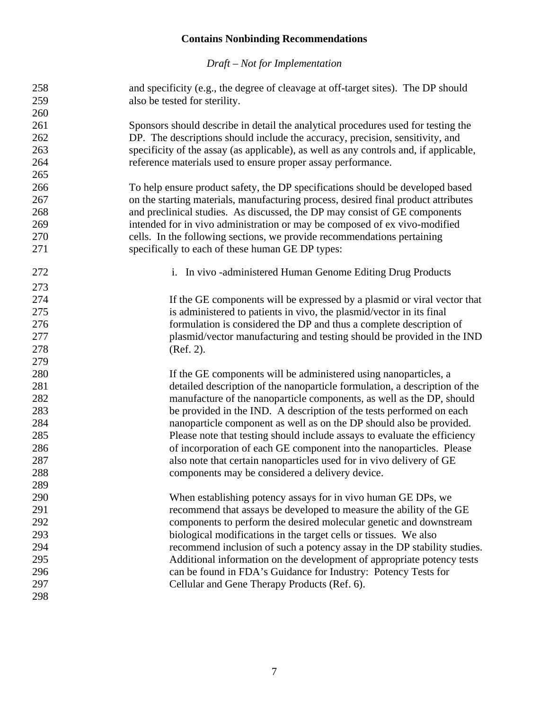<span id="page-8-1"></span><span id="page-8-0"></span>

| 260<br>261<br>Sponsors should describe in detail the analytical procedures used for testing the<br>262<br>DP. The descriptions should include the accuracy, precision, sensitivity, and<br>specificity of the assay (as applicable), as well as any controls and, if applicable,<br>263<br>264<br>reference materials used to ensure proper assay performance.<br>265<br>266<br>To help ensure product safety, the DP specifications should be developed based<br>267<br>on the starting materials, manufacturing process, desired final product attributes<br>and preclinical studies. As discussed, the DP may consist of GE components<br>intended for in vivo administration or may be composed of ex vivo-modified<br>cells. In the following sections, we provide recommendations pertaining<br>specifically to each of these human GE DP types:<br>i. In vivo -administered Human Genome Editing Drug Products<br>If the GE components will be expressed by a plasmid or viral vector that<br>is administered to patients in vivo, the plasmid/vector in its final<br>formulation is considered the DP and thus a complete description of<br>plasmid/vector manufacturing and testing should be provided in the IND<br>(Ref. 2).<br>If the GE components will be administered using nanoparticles, a<br>detailed description of the nanoparticle formulation, a description of the<br>manufacture of the nanoparticle components, as well as the DP, should<br>be provided in the IND. A description of the tests performed on each<br>284<br>nanoparticle component as well as on the DP should also be provided.<br>285<br>Please note that testing should include assays to evaluate the efficiency<br>286<br>of incorporation of each GE component into the nanoparticles. Please<br>287<br>also note that certain nanoparticles used for in vivo delivery of GE<br>288<br>components may be considered a delivery device.<br>289<br>290<br>When establishing potency assays for in vivo human GE DPs, we<br>291<br>recommend that assays be developed to measure the ability of the GE<br>292<br>components to perform the desired molecular genetic and downstream<br>293<br>biological modifications in the target cells or tissues. We also<br>294<br>recommend inclusion of such a potency assay in the DP stability studies.<br>295<br>Additional information on the development of appropriate potency tests<br>296<br>can be found in FDA's Guidance for Industry: Potency Tests for<br>297<br>Cellular and Gene Therapy Products (Ref. 6). | 258<br>259 | and specificity (e.g., the degree of cleavage at off-target sites). The DP should<br>also be tested for sterility. |
|----------------------------------------------------------------------------------------------------------------------------------------------------------------------------------------------------------------------------------------------------------------------------------------------------------------------------------------------------------------------------------------------------------------------------------------------------------------------------------------------------------------------------------------------------------------------------------------------------------------------------------------------------------------------------------------------------------------------------------------------------------------------------------------------------------------------------------------------------------------------------------------------------------------------------------------------------------------------------------------------------------------------------------------------------------------------------------------------------------------------------------------------------------------------------------------------------------------------------------------------------------------------------------------------------------------------------------------------------------------------------------------------------------------------------------------------------------------------------------------------------------------------------------------------------------------------------------------------------------------------------------------------------------------------------------------------------------------------------------------------------------------------------------------------------------------------------------------------------------------------------------------------------------------------------------------------------------------------------------------------------------------------------------------------------------------------------------------------------------------------------------------------------------------------------------------------------------------------------------------------------------------------------------------------------------------------------------------------------------------------------------------------------------------------------------------------------------------------------------------------------------------------------------------------------------------|------------|--------------------------------------------------------------------------------------------------------------------|
|                                                                                                                                                                                                                                                                                                                                                                                                                                                                                                                                                                                                                                                                                                                                                                                                                                                                                                                                                                                                                                                                                                                                                                                                                                                                                                                                                                                                                                                                                                                                                                                                                                                                                                                                                                                                                                                                                                                                                                                                                                                                                                                                                                                                                                                                                                                                                                                                                                                                                                                                                                |            |                                                                                                                    |
|                                                                                                                                                                                                                                                                                                                                                                                                                                                                                                                                                                                                                                                                                                                                                                                                                                                                                                                                                                                                                                                                                                                                                                                                                                                                                                                                                                                                                                                                                                                                                                                                                                                                                                                                                                                                                                                                                                                                                                                                                                                                                                                                                                                                                                                                                                                                                                                                                                                                                                                                                                |            |                                                                                                                    |
|                                                                                                                                                                                                                                                                                                                                                                                                                                                                                                                                                                                                                                                                                                                                                                                                                                                                                                                                                                                                                                                                                                                                                                                                                                                                                                                                                                                                                                                                                                                                                                                                                                                                                                                                                                                                                                                                                                                                                                                                                                                                                                                                                                                                                                                                                                                                                                                                                                                                                                                                                                |            |                                                                                                                    |
|                                                                                                                                                                                                                                                                                                                                                                                                                                                                                                                                                                                                                                                                                                                                                                                                                                                                                                                                                                                                                                                                                                                                                                                                                                                                                                                                                                                                                                                                                                                                                                                                                                                                                                                                                                                                                                                                                                                                                                                                                                                                                                                                                                                                                                                                                                                                                                                                                                                                                                                                                                |            |                                                                                                                    |
|                                                                                                                                                                                                                                                                                                                                                                                                                                                                                                                                                                                                                                                                                                                                                                                                                                                                                                                                                                                                                                                                                                                                                                                                                                                                                                                                                                                                                                                                                                                                                                                                                                                                                                                                                                                                                                                                                                                                                                                                                                                                                                                                                                                                                                                                                                                                                                                                                                                                                                                                                                |            |                                                                                                                    |
|                                                                                                                                                                                                                                                                                                                                                                                                                                                                                                                                                                                                                                                                                                                                                                                                                                                                                                                                                                                                                                                                                                                                                                                                                                                                                                                                                                                                                                                                                                                                                                                                                                                                                                                                                                                                                                                                                                                                                                                                                                                                                                                                                                                                                                                                                                                                                                                                                                                                                                                                                                |            |                                                                                                                    |
|                                                                                                                                                                                                                                                                                                                                                                                                                                                                                                                                                                                                                                                                                                                                                                                                                                                                                                                                                                                                                                                                                                                                                                                                                                                                                                                                                                                                                                                                                                                                                                                                                                                                                                                                                                                                                                                                                                                                                                                                                                                                                                                                                                                                                                                                                                                                                                                                                                                                                                                                                                |            |                                                                                                                    |
|                                                                                                                                                                                                                                                                                                                                                                                                                                                                                                                                                                                                                                                                                                                                                                                                                                                                                                                                                                                                                                                                                                                                                                                                                                                                                                                                                                                                                                                                                                                                                                                                                                                                                                                                                                                                                                                                                                                                                                                                                                                                                                                                                                                                                                                                                                                                                                                                                                                                                                                                                                |            |                                                                                                                    |
|                                                                                                                                                                                                                                                                                                                                                                                                                                                                                                                                                                                                                                                                                                                                                                                                                                                                                                                                                                                                                                                                                                                                                                                                                                                                                                                                                                                                                                                                                                                                                                                                                                                                                                                                                                                                                                                                                                                                                                                                                                                                                                                                                                                                                                                                                                                                                                                                                                                                                                                                                                | 268        |                                                                                                                    |
|                                                                                                                                                                                                                                                                                                                                                                                                                                                                                                                                                                                                                                                                                                                                                                                                                                                                                                                                                                                                                                                                                                                                                                                                                                                                                                                                                                                                                                                                                                                                                                                                                                                                                                                                                                                                                                                                                                                                                                                                                                                                                                                                                                                                                                                                                                                                                                                                                                                                                                                                                                | 269        |                                                                                                                    |
|                                                                                                                                                                                                                                                                                                                                                                                                                                                                                                                                                                                                                                                                                                                                                                                                                                                                                                                                                                                                                                                                                                                                                                                                                                                                                                                                                                                                                                                                                                                                                                                                                                                                                                                                                                                                                                                                                                                                                                                                                                                                                                                                                                                                                                                                                                                                                                                                                                                                                                                                                                | 270        |                                                                                                                    |
|                                                                                                                                                                                                                                                                                                                                                                                                                                                                                                                                                                                                                                                                                                                                                                                                                                                                                                                                                                                                                                                                                                                                                                                                                                                                                                                                                                                                                                                                                                                                                                                                                                                                                                                                                                                                                                                                                                                                                                                                                                                                                                                                                                                                                                                                                                                                                                                                                                                                                                                                                                | 271        |                                                                                                                    |
|                                                                                                                                                                                                                                                                                                                                                                                                                                                                                                                                                                                                                                                                                                                                                                                                                                                                                                                                                                                                                                                                                                                                                                                                                                                                                                                                                                                                                                                                                                                                                                                                                                                                                                                                                                                                                                                                                                                                                                                                                                                                                                                                                                                                                                                                                                                                                                                                                                                                                                                                                                | 272        |                                                                                                                    |
|                                                                                                                                                                                                                                                                                                                                                                                                                                                                                                                                                                                                                                                                                                                                                                                                                                                                                                                                                                                                                                                                                                                                                                                                                                                                                                                                                                                                                                                                                                                                                                                                                                                                                                                                                                                                                                                                                                                                                                                                                                                                                                                                                                                                                                                                                                                                                                                                                                                                                                                                                                | 273        |                                                                                                                    |
|                                                                                                                                                                                                                                                                                                                                                                                                                                                                                                                                                                                                                                                                                                                                                                                                                                                                                                                                                                                                                                                                                                                                                                                                                                                                                                                                                                                                                                                                                                                                                                                                                                                                                                                                                                                                                                                                                                                                                                                                                                                                                                                                                                                                                                                                                                                                                                                                                                                                                                                                                                | 274        |                                                                                                                    |
|                                                                                                                                                                                                                                                                                                                                                                                                                                                                                                                                                                                                                                                                                                                                                                                                                                                                                                                                                                                                                                                                                                                                                                                                                                                                                                                                                                                                                                                                                                                                                                                                                                                                                                                                                                                                                                                                                                                                                                                                                                                                                                                                                                                                                                                                                                                                                                                                                                                                                                                                                                | 275        |                                                                                                                    |
|                                                                                                                                                                                                                                                                                                                                                                                                                                                                                                                                                                                                                                                                                                                                                                                                                                                                                                                                                                                                                                                                                                                                                                                                                                                                                                                                                                                                                                                                                                                                                                                                                                                                                                                                                                                                                                                                                                                                                                                                                                                                                                                                                                                                                                                                                                                                                                                                                                                                                                                                                                | 276        |                                                                                                                    |
|                                                                                                                                                                                                                                                                                                                                                                                                                                                                                                                                                                                                                                                                                                                                                                                                                                                                                                                                                                                                                                                                                                                                                                                                                                                                                                                                                                                                                                                                                                                                                                                                                                                                                                                                                                                                                                                                                                                                                                                                                                                                                                                                                                                                                                                                                                                                                                                                                                                                                                                                                                | 277        |                                                                                                                    |
|                                                                                                                                                                                                                                                                                                                                                                                                                                                                                                                                                                                                                                                                                                                                                                                                                                                                                                                                                                                                                                                                                                                                                                                                                                                                                                                                                                                                                                                                                                                                                                                                                                                                                                                                                                                                                                                                                                                                                                                                                                                                                                                                                                                                                                                                                                                                                                                                                                                                                                                                                                | 278        |                                                                                                                    |
|                                                                                                                                                                                                                                                                                                                                                                                                                                                                                                                                                                                                                                                                                                                                                                                                                                                                                                                                                                                                                                                                                                                                                                                                                                                                                                                                                                                                                                                                                                                                                                                                                                                                                                                                                                                                                                                                                                                                                                                                                                                                                                                                                                                                                                                                                                                                                                                                                                                                                                                                                                | 279        |                                                                                                                    |
|                                                                                                                                                                                                                                                                                                                                                                                                                                                                                                                                                                                                                                                                                                                                                                                                                                                                                                                                                                                                                                                                                                                                                                                                                                                                                                                                                                                                                                                                                                                                                                                                                                                                                                                                                                                                                                                                                                                                                                                                                                                                                                                                                                                                                                                                                                                                                                                                                                                                                                                                                                | 280        |                                                                                                                    |
|                                                                                                                                                                                                                                                                                                                                                                                                                                                                                                                                                                                                                                                                                                                                                                                                                                                                                                                                                                                                                                                                                                                                                                                                                                                                                                                                                                                                                                                                                                                                                                                                                                                                                                                                                                                                                                                                                                                                                                                                                                                                                                                                                                                                                                                                                                                                                                                                                                                                                                                                                                | 281        |                                                                                                                    |
|                                                                                                                                                                                                                                                                                                                                                                                                                                                                                                                                                                                                                                                                                                                                                                                                                                                                                                                                                                                                                                                                                                                                                                                                                                                                                                                                                                                                                                                                                                                                                                                                                                                                                                                                                                                                                                                                                                                                                                                                                                                                                                                                                                                                                                                                                                                                                                                                                                                                                                                                                                | 282        |                                                                                                                    |
|                                                                                                                                                                                                                                                                                                                                                                                                                                                                                                                                                                                                                                                                                                                                                                                                                                                                                                                                                                                                                                                                                                                                                                                                                                                                                                                                                                                                                                                                                                                                                                                                                                                                                                                                                                                                                                                                                                                                                                                                                                                                                                                                                                                                                                                                                                                                                                                                                                                                                                                                                                | 283        |                                                                                                                    |
|                                                                                                                                                                                                                                                                                                                                                                                                                                                                                                                                                                                                                                                                                                                                                                                                                                                                                                                                                                                                                                                                                                                                                                                                                                                                                                                                                                                                                                                                                                                                                                                                                                                                                                                                                                                                                                                                                                                                                                                                                                                                                                                                                                                                                                                                                                                                                                                                                                                                                                                                                                |            |                                                                                                                    |
|                                                                                                                                                                                                                                                                                                                                                                                                                                                                                                                                                                                                                                                                                                                                                                                                                                                                                                                                                                                                                                                                                                                                                                                                                                                                                                                                                                                                                                                                                                                                                                                                                                                                                                                                                                                                                                                                                                                                                                                                                                                                                                                                                                                                                                                                                                                                                                                                                                                                                                                                                                |            |                                                                                                                    |
|                                                                                                                                                                                                                                                                                                                                                                                                                                                                                                                                                                                                                                                                                                                                                                                                                                                                                                                                                                                                                                                                                                                                                                                                                                                                                                                                                                                                                                                                                                                                                                                                                                                                                                                                                                                                                                                                                                                                                                                                                                                                                                                                                                                                                                                                                                                                                                                                                                                                                                                                                                |            |                                                                                                                    |
|                                                                                                                                                                                                                                                                                                                                                                                                                                                                                                                                                                                                                                                                                                                                                                                                                                                                                                                                                                                                                                                                                                                                                                                                                                                                                                                                                                                                                                                                                                                                                                                                                                                                                                                                                                                                                                                                                                                                                                                                                                                                                                                                                                                                                                                                                                                                                                                                                                                                                                                                                                |            |                                                                                                                    |
|                                                                                                                                                                                                                                                                                                                                                                                                                                                                                                                                                                                                                                                                                                                                                                                                                                                                                                                                                                                                                                                                                                                                                                                                                                                                                                                                                                                                                                                                                                                                                                                                                                                                                                                                                                                                                                                                                                                                                                                                                                                                                                                                                                                                                                                                                                                                                                                                                                                                                                                                                                |            |                                                                                                                    |
|                                                                                                                                                                                                                                                                                                                                                                                                                                                                                                                                                                                                                                                                                                                                                                                                                                                                                                                                                                                                                                                                                                                                                                                                                                                                                                                                                                                                                                                                                                                                                                                                                                                                                                                                                                                                                                                                                                                                                                                                                                                                                                                                                                                                                                                                                                                                                                                                                                                                                                                                                                |            |                                                                                                                    |
|                                                                                                                                                                                                                                                                                                                                                                                                                                                                                                                                                                                                                                                                                                                                                                                                                                                                                                                                                                                                                                                                                                                                                                                                                                                                                                                                                                                                                                                                                                                                                                                                                                                                                                                                                                                                                                                                                                                                                                                                                                                                                                                                                                                                                                                                                                                                                                                                                                                                                                                                                                |            |                                                                                                                    |
|                                                                                                                                                                                                                                                                                                                                                                                                                                                                                                                                                                                                                                                                                                                                                                                                                                                                                                                                                                                                                                                                                                                                                                                                                                                                                                                                                                                                                                                                                                                                                                                                                                                                                                                                                                                                                                                                                                                                                                                                                                                                                                                                                                                                                                                                                                                                                                                                                                                                                                                                                                |            |                                                                                                                    |
|                                                                                                                                                                                                                                                                                                                                                                                                                                                                                                                                                                                                                                                                                                                                                                                                                                                                                                                                                                                                                                                                                                                                                                                                                                                                                                                                                                                                                                                                                                                                                                                                                                                                                                                                                                                                                                                                                                                                                                                                                                                                                                                                                                                                                                                                                                                                                                                                                                                                                                                                                                |            |                                                                                                                    |
|                                                                                                                                                                                                                                                                                                                                                                                                                                                                                                                                                                                                                                                                                                                                                                                                                                                                                                                                                                                                                                                                                                                                                                                                                                                                                                                                                                                                                                                                                                                                                                                                                                                                                                                                                                                                                                                                                                                                                                                                                                                                                                                                                                                                                                                                                                                                                                                                                                                                                                                                                                |            |                                                                                                                    |
|                                                                                                                                                                                                                                                                                                                                                                                                                                                                                                                                                                                                                                                                                                                                                                                                                                                                                                                                                                                                                                                                                                                                                                                                                                                                                                                                                                                                                                                                                                                                                                                                                                                                                                                                                                                                                                                                                                                                                                                                                                                                                                                                                                                                                                                                                                                                                                                                                                                                                                                                                                |            |                                                                                                                    |
|                                                                                                                                                                                                                                                                                                                                                                                                                                                                                                                                                                                                                                                                                                                                                                                                                                                                                                                                                                                                                                                                                                                                                                                                                                                                                                                                                                                                                                                                                                                                                                                                                                                                                                                                                                                                                                                                                                                                                                                                                                                                                                                                                                                                                                                                                                                                                                                                                                                                                                                                                                |            |                                                                                                                    |
|                                                                                                                                                                                                                                                                                                                                                                                                                                                                                                                                                                                                                                                                                                                                                                                                                                                                                                                                                                                                                                                                                                                                                                                                                                                                                                                                                                                                                                                                                                                                                                                                                                                                                                                                                                                                                                                                                                                                                                                                                                                                                                                                                                                                                                                                                                                                                                                                                                                                                                                                                                |            |                                                                                                                    |
|                                                                                                                                                                                                                                                                                                                                                                                                                                                                                                                                                                                                                                                                                                                                                                                                                                                                                                                                                                                                                                                                                                                                                                                                                                                                                                                                                                                                                                                                                                                                                                                                                                                                                                                                                                                                                                                                                                                                                                                                                                                                                                                                                                                                                                                                                                                                                                                                                                                                                                                                                                |            |                                                                                                                    |
|                                                                                                                                                                                                                                                                                                                                                                                                                                                                                                                                                                                                                                                                                                                                                                                                                                                                                                                                                                                                                                                                                                                                                                                                                                                                                                                                                                                                                                                                                                                                                                                                                                                                                                                                                                                                                                                                                                                                                                                                                                                                                                                                                                                                                                                                                                                                                                                                                                                                                                                                                                | 298        |                                                                                                                    |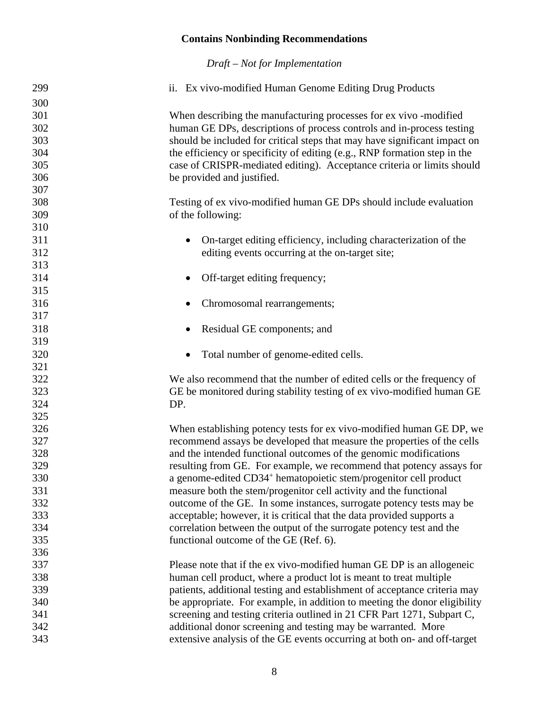| 299 | ii. Ex vivo-modified Human Genome Editing Drug Products                      |
|-----|------------------------------------------------------------------------------|
| 300 |                                                                              |
| 301 | When describing the manufacturing processes for ex vivo -modified            |
| 302 | human GE DPs, descriptions of process controls and in-process testing        |
| 303 | should be included for critical steps that may have significant impact on    |
| 304 | the efficiency or specificity of editing (e.g., RNP formation step in the    |
| 305 | case of CRISPR-mediated editing). Acceptance criteria or limits should       |
| 306 | be provided and justified.                                                   |
| 307 |                                                                              |
| 308 | Testing of ex vivo-modified human GE DPs should include evaluation           |
| 309 | of the following:                                                            |
| 310 |                                                                              |
| 311 | On-target editing efficiency, including characterization of the              |
| 312 | editing events occurring at the on-target site;                              |
| 313 |                                                                              |
| 314 | Off-target editing frequency;                                                |
| 315 |                                                                              |
| 316 | Chromosomal rearrangements;                                                  |
| 317 |                                                                              |
| 318 | Residual GE components; and                                                  |
| 319 |                                                                              |
| 320 | Total number of genome-edited cells.                                         |
| 321 |                                                                              |
| 322 | We also recommend that the number of edited cells or the frequency of        |
| 323 | GE be monitored during stability testing of ex vivo-modified human GE        |
| 324 | DP.                                                                          |
| 325 |                                                                              |
| 326 | When establishing potency tests for ex vivo-modified human GE DP, we         |
| 327 | recommend assays be developed that measure the properties of the cells       |
| 328 | and the intended functional outcomes of the genomic modifications            |
| 329 | resulting from GE. For example, we recommend that potency assays for         |
| 330 | a genome-edited CD34 <sup>+</sup> hematopoietic stem/progenitor cell product |
| 331 | measure both the stem/progenitor cell activity and the functional            |
| 332 | outcome of the GE. In some instances, surrogate potency tests may be         |
| 333 | acceptable; however, it is critical that the data provided supports a        |
| 334 | correlation between the output of the surrogate potency test and the         |
| 335 | functional outcome of the GE (Ref. 6).                                       |
| 336 |                                                                              |
| 337 | Please note that if the ex vivo-modified human GE DP is an allogeneic        |
| 338 | human cell product, where a product lot is meant to treat multiple           |
| 339 | patients, additional testing and establishment of acceptance criteria may    |
| 340 | be appropriate. For example, in addition to meeting the donor eligibility    |
| 341 | screening and testing criteria outlined in 21 CFR Part 1271, Subpart C,      |
| 342 | additional donor screening and testing may be warranted. More                |
| 343 | extensive analysis of the GE events occurring at both on- and off-target     |
|     |                                                                              |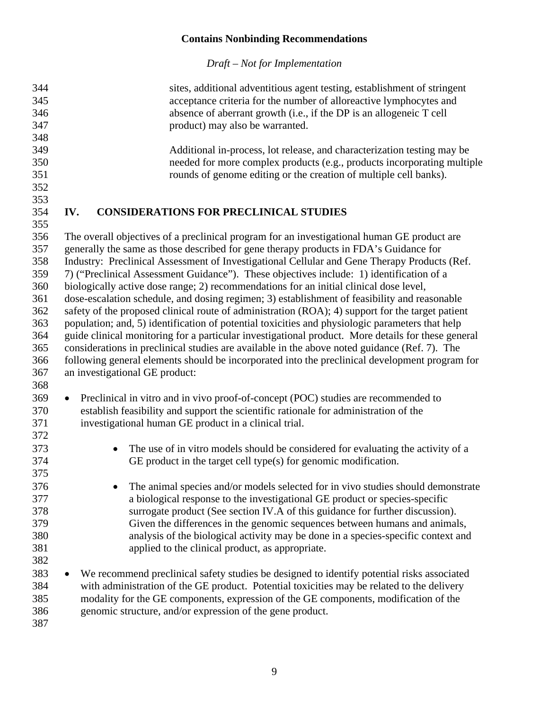<span id="page-10-0"></span>

| 344 | sites, additional adventitious agent testing, establishment of stringent                           |
|-----|----------------------------------------------------------------------------------------------------|
| 345 | acceptance criteria for the number of alloreactive lymphocytes and                                 |
| 346 | absence of aberrant growth (i.e., if the DP is an allogeneic T cell                                |
| 347 | product) may also be warranted.                                                                    |
| 348 |                                                                                                    |
| 349 | Additional in-process, lot release, and characterization testing may be                            |
| 350 | needed for more complex products (e.g., products incorporating multiple                            |
| 351 | rounds of genome editing or the creation of multiple cell banks).                                  |
| 352 |                                                                                                    |
| 353 |                                                                                                    |
| 354 | <b>CONSIDERATIONS FOR PRECLINICAL STUDIES</b><br>IV.                                               |
| 355 |                                                                                                    |
| 356 | The overall objectives of a preclinical program for an investigational human GE product are        |
| 357 | generally the same as those described for gene therapy products in FDA's Guidance for              |
| 358 | Industry: Preclinical Assessment of Investigational Cellular and Gene Therapy Products (Ref.       |
|     |                                                                                                    |
| 359 | 7) ("Preclinical Assessment Guidance"). These objectives include: 1) identification of a           |
| 360 | biologically active dose range; 2) recommendations for an initial clinical dose level,             |
| 361 | dose-escalation schedule, and dosing regimen; 3) establishment of feasibility and reasonable       |
| 362 | safety of the proposed clinical route of administration (ROA); 4) support for the target patient   |
| 363 | population; and, 5) identification of potential toxicities and physiologic parameters that help    |
| 364 | guide clinical monitoring for a particular investigational product. More details for these general |
| 365 | considerations in preclinical studies are available in the above noted guidance (Ref. 7). The      |
| 366 | following general elements should be incorporated into the preclinical development program for     |
| 367 | an investigational GE product:                                                                     |
| 368 |                                                                                                    |
| 369 | Preclinical in vitro and in vivo proof-of-concept (POC) studies are recommended to<br>$\bullet$    |
| 370 | establish feasibility and support the scientific rationale for administration of the               |
| 371 | investigational human GE product in a clinical trial.                                              |
| 372 |                                                                                                    |
| 373 | The use of in vitro models should be considered for evaluating the activity of a<br>$\bullet$      |
| 374 | GE product in the target cell type(s) for genomic modification.                                    |
| 375 |                                                                                                    |
| 376 | The animal species and/or models selected for in vivo studies should demonstrate                   |
|     |                                                                                                    |
| 377 | a biological response to the investigational GE product or species-specific                        |
| 378 | surrogate product (See section IV.A of this guidance for further discussion).                      |
| 379 | Given the differences in the genomic sequences between humans and animals,                         |
| 380 | analysis of the biological activity may be done in a species-specific context and                  |
| 381 | applied to the clinical product, as appropriate.                                                   |
| 382 |                                                                                                    |
| 383 | We recommend preclinical safety studies be designed to identify potential risks associated         |
| 384 | with administration of the GE product. Potential toxicities may be related to the delivery         |
| 385 | modality for the GE components, expression of the GE components, modification of the               |
| 386 | genomic structure, and/or expression of the gene product.                                          |
| 387 |                                                                                                    |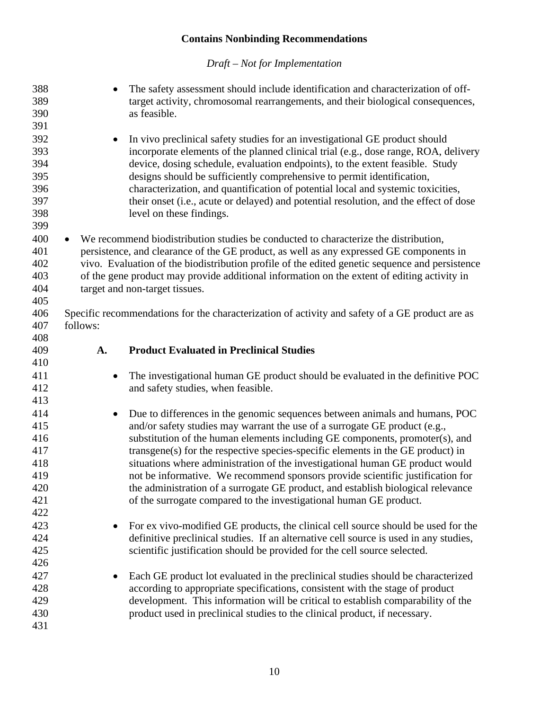<span id="page-11-0"></span>

| 388<br>389<br>390<br>391                             | The safety assessment should include identification and characterization of off-<br>target activity, chromosomal rearrangements, and their biological consequences,<br>as feasible.                                                                                                                                                                                                                                                                                                                                                    |
|------------------------------------------------------|----------------------------------------------------------------------------------------------------------------------------------------------------------------------------------------------------------------------------------------------------------------------------------------------------------------------------------------------------------------------------------------------------------------------------------------------------------------------------------------------------------------------------------------|
| 392<br>393<br>394<br>395<br>396<br>397<br>398<br>399 | In vivo preclinical safety studies for an investigational GE product should<br>incorporate elements of the planned clinical trial (e.g., dose range, ROA, delivery<br>device, dosing schedule, evaluation endpoints), to the extent feasible. Study<br>designs should be sufficiently comprehensive to permit identification,<br>characterization, and quantification of potential local and systemic toxicities,<br>their onset (i.e., acute or delayed) and potential resolution, and the effect of dose<br>level on these findings. |
| 400<br>401<br>402<br>403<br>404<br>405               | We recommend biodistribution studies be conducted to characterize the distribution,<br>$\bullet$<br>persistence, and clearance of the GE product, as well as any expressed GE components in<br>vivo. Evaluation of the biodistribution profile of the edited genetic sequence and persistence<br>of the gene product may provide additional information on the extent of editing activity in<br>target and non-target tissues.                                                                                                         |
| 406<br>407<br>408                                    | Specific recommendations for the characterization of activity and safety of a GE product are as<br>follows:                                                                                                                                                                                                                                                                                                                                                                                                                            |
| 409                                                  | <b>Product Evaluated in Preclinical Studies</b><br>A.                                                                                                                                                                                                                                                                                                                                                                                                                                                                                  |
| 410                                                  |                                                                                                                                                                                                                                                                                                                                                                                                                                                                                                                                        |
| 411<br>412                                           | The investigational human GE product should be evaluated in the definitive POC<br>and safety studies, when feasible.                                                                                                                                                                                                                                                                                                                                                                                                                   |
| 413                                                  |                                                                                                                                                                                                                                                                                                                                                                                                                                                                                                                                        |
| 414<br>415                                           | Due to differences in the genomic sequences between animals and humans, POC<br>$\bullet$<br>and/or safety studies may warrant the use of a surrogate GE product (e.g.,                                                                                                                                                                                                                                                                                                                                                                 |
| 416                                                  | substitution of the human elements including GE components, promoter(s), and                                                                                                                                                                                                                                                                                                                                                                                                                                                           |
| 417                                                  | transgene(s) for the respective species-specific elements in the GE product) in                                                                                                                                                                                                                                                                                                                                                                                                                                                        |
| 418<br>419                                           | situations where administration of the investigational human GE product would                                                                                                                                                                                                                                                                                                                                                                                                                                                          |
| 420                                                  | not be informative. We recommend sponsors provide scientific justification for                                                                                                                                                                                                                                                                                                                                                                                                                                                         |
| 421                                                  | the administration of a surrogate GE product, and establish biological relevance<br>of the surrogate compared to the investigational human GE product.                                                                                                                                                                                                                                                                                                                                                                                 |
| 422                                                  |                                                                                                                                                                                                                                                                                                                                                                                                                                                                                                                                        |
| 423                                                  |                                                                                                                                                                                                                                                                                                                                                                                                                                                                                                                                        |
| 424                                                  | For ex vivo-modified GE products, the clinical cell source should be used for the<br>definitive preclinical studies. If an alternative cell source is used in any studies,                                                                                                                                                                                                                                                                                                                                                             |
| 425                                                  | scientific justification should be provided for the cell source selected.                                                                                                                                                                                                                                                                                                                                                                                                                                                              |
| 426                                                  |                                                                                                                                                                                                                                                                                                                                                                                                                                                                                                                                        |
| 427                                                  | Each GE product lot evaluated in the preclinical studies should be characterized                                                                                                                                                                                                                                                                                                                                                                                                                                                       |
| 428                                                  | $\bullet$<br>according to appropriate specifications, consistent with the stage of product                                                                                                                                                                                                                                                                                                                                                                                                                                             |
| 429                                                  | development. This information will be critical to establish comparability of the                                                                                                                                                                                                                                                                                                                                                                                                                                                       |
| 430                                                  | product used in preclinical studies to the clinical product, if necessary.                                                                                                                                                                                                                                                                                                                                                                                                                                                             |
| 431                                                  |                                                                                                                                                                                                                                                                                                                                                                                                                                                                                                                                        |
|                                                      |                                                                                                                                                                                                                                                                                                                                                                                                                                                                                                                                        |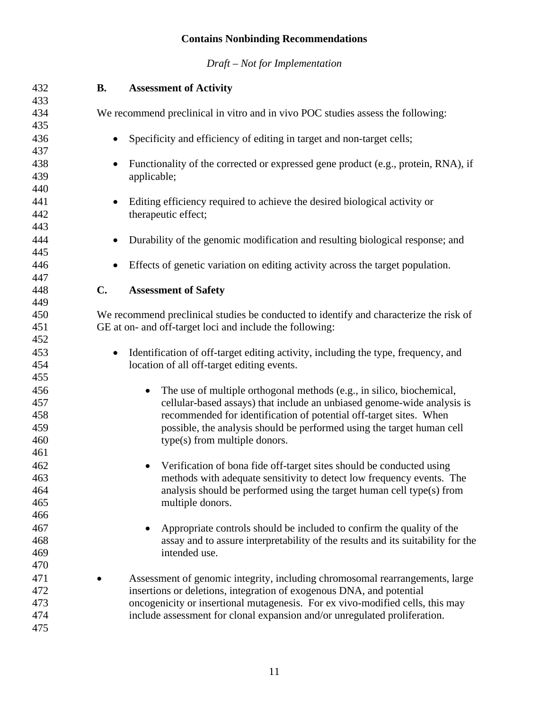<span id="page-12-1"></span><span id="page-12-0"></span>

| 432 | <b>B.</b>     | <b>Assessment of Activity</b>                                                          |
|-----|---------------|----------------------------------------------------------------------------------------|
| 433 |               |                                                                                        |
| 434 |               | We recommend preclinical in vitro and in vivo POC studies assess the following:        |
| 435 |               |                                                                                        |
| 436 | $\bullet$     | Specificity and efficiency of editing in target and non-target cells;                  |
| 437 |               |                                                                                        |
| 438 | $\bullet$     | Functionality of the corrected or expressed gene product (e.g., protein, RNA), if      |
| 439 |               | applicable;                                                                            |
| 440 |               |                                                                                        |
| 441 |               | Editing efficiency required to achieve the desired biological activity or              |
| 442 |               | therapeutic effect;                                                                    |
| 443 |               |                                                                                        |
| 444 | $\bullet$     | Durability of the genomic modification and resulting biological response; and          |
| 445 |               |                                                                                        |
| 446 |               | Effects of genetic variation on editing activity across the target population.         |
| 447 |               |                                                                                        |
| 448 | $C_{\bullet}$ | <b>Assessment of Safety</b>                                                            |
| 449 |               |                                                                                        |
| 450 |               | We recommend preclinical studies be conducted to identify and characterize the risk of |
| 451 |               | GE at on- and off-target loci and include the following:                               |
| 452 |               |                                                                                        |
| 453 | $\bullet$     | Identification of off-target editing activity, including the type, frequency, and      |
| 454 |               | location of all off-target editing events.                                             |
| 455 |               |                                                                                        |
| 456 |               | The use of multiple orthogonal methods (e.g., in silico, biochemical,<br>$\bullet$     |
| 457 |               | cellular-based assays) that include an unbiased genome-wide analysis is                |
| 458 |               | recommended for identification of potential off-target sites. When                     |
| 459 |               | possible, the analysis should be performed using the target human cell                 |
| 460 |               | type(s) from multiple donors.                                                          |
| 461 |               |                                                                                        |
| 462 |               | Verification of bona fide off-target sites should be conducted using<br>$\bullet$      |
| 463 |               | methods with adequate sensitivity to detect low frequency events. The                  |
| 464 |               | analysis should be performed using the target human cell type(s) from                  |
| 465 |               | multiple donors.                                                                       |
| 466 |               |                                                                                        |
| 467 |               | Appropriate controls should be included to confirm the quality of the<br>$\bullet$     |
| 468 |               | assay and to assure interpretability of the results and its suitability for the        |
| 469 |               | intended use.                                                                          |
| 470 |               |                                                                                        |
| 471 |               | Assessment of genomic integrity, including chromosomal rearrangements, large           |
| 472 |               | insertions or deletions, integration of exogenous DNA, and potential                   |
| 473 |               | oncogenicity or insertional mutagenesis. For ex vivo-modified cells, this may          |
| 474 |               | include assessment for clonal expansion and/or unregulated proliferation.              |
| 475 |               |                                                                                        |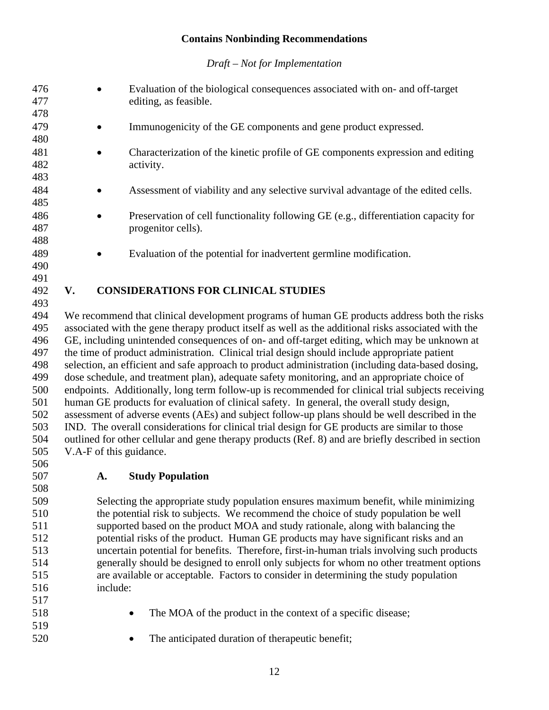*Draft – Not for Implementation*

| 476 |                         | Evaluation of the biological consequences associated with on- and off-target                        |
|-----|-------------------------|-----------------------------------------------------------------------------------------------------|
| 477 |                         | editing, as feasible.                                                                               |
| 478 |                         |                                                                                                     |
| 479 |                         | Immunogenicity of the GE components and gene product expressed.                                     |
| 480 |                         |                                                                                                     |
| 481 |                         | Characterization of the kinetic profile of GE components expression and editing                     |
| 482 |                         | activity.                                                                                           |
| 483 |                         |                                                                                                     |
| 484 |                         | Assessment of viability and any selective survival advantage of the edited cells.                   |
| 485 |                         |                                                                                                     |
| 486 |                         | Preservation of cell functionality following GE (e.g., differentiation capacity for                 |
| 487 |                         | progenitor cells).                                                                                  |
| 488 |                         |                                                                                                     |
| 489 |                         | Evaluation of the potential for inadvertent germline modification.                                  |
| 490 |                         |                                                                                                     |
| 491 |                         |                                                                                                     |
| 492 | V.                      | <b>CONSIDERATIONS FOR CLINICAL STUDIES</b>                                                          |
| 493 |                         |                                                                                                     |
| 494 |                         | We recommend that clinical development programs of human GE products address both the risks         |
| 495 |                         | associated with the gene therapy product itself as well as the additional risks associated with the |
| 496 |                         | GE, including unintended consequences of on- and off-target editing, which may be unknown at        |
| 497 |                         | the time of product administration. Clinical trial design should include appropriate patient        |
| 498 |                         | selection, an efficient and safe approach to product administration (including data-based dosing,   |
| 499 |                         | dose schedule, and treatment plan), adequate safety monitoring, and an appropriate choice of        |
| 500 |                         | endpoints. Additionally, long term follow-up is recommended for clinical trial subjects receiving   |
| 501 |                         | human GE products for evaluation of clinical safety. In general, the overall study design,          |
| 502 |                         | assessment of adverse events (AEs) and subject follow-up plans should be well described in the      |
| 503 |                         | IND. The overall considerations for clinical trial design for GE products are similar to those      |
| 504 |                         | outlined for other cellular and gene therapy products (Ref. 8) and are briefly described in section |
| 505 | V.A-F of this guidance. |                                                                                                     |
| 506 |                         |                                                                                                     |
| 507 |                         | $\lambda$ $\alpha$ $\alpha$ $\beta$ $\beta$ $\alpha$ $\beta$ $\beta$ $\beta$ $\beta$ $\alpha$       |

#### <span id="page-13-1"></span><span id="page-13-0"></span>**A. Study Population**

 Selecting the appropriate study population ensures maximum benefit, while minimizing the potential risk to subjects. We recommend the choice of study population be well supported based on the product MOA and study rationale, along with balancing the potential risks of the product. Human GE products may have significant risks and an uncertain potential for benefits. Therefore, first-in-human trials involving such products generally should be designed to enroll only subjects for whom no other treatment options are available or acceptable. Factors to consider in determining the study population include:

- 
- 518 The MOA of the product in the context of a specific disease;
- 520 The anticipated duration of the rapeutic benefit;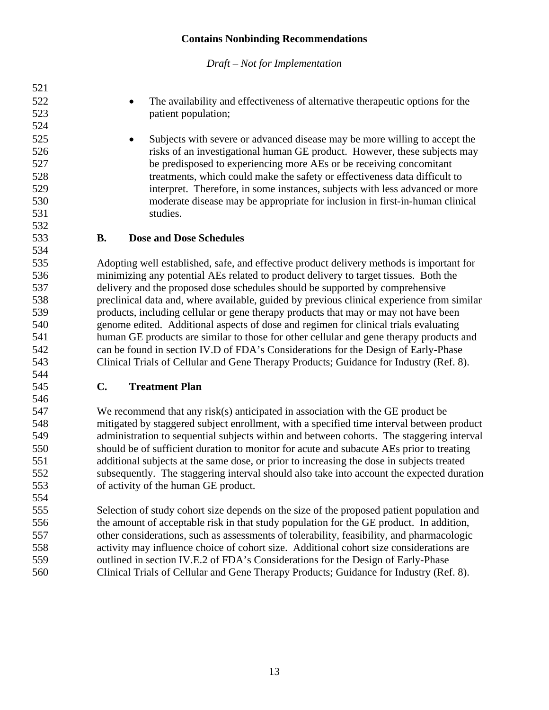<span id="page-14-1"></span><span id="page-14-0"></span>

| 521 |               |                                                                                            |
|-----|---------------|--------------------------------------------------------------------------------------------|
| 522 |               | The availability and effectiveness of alternative therapeutic options for the<br>$\bullet$ |
| 523 |               | patient population;                                                                        |
| 524 |               |                                                                                            |
| 525 |               | Subjects with severe or advanced disease may be more willing to accept the<br>$\bullet$    |
| 526 |               | risks of an investigational human GE product. However, these subjects may                  |
| 527 |               | be predisposed to experiencing more AEs or be receiving concomitant                        |
| 528 |               | treatments, which could make the safety or effectiveness data difficult to                 |
| 529 |               | interpret. Therefore, in some instances, subjects with less advanced or more               |
| 530 |               | moderate disease may be appropriate for inclusion in first-in-human clinical               |
| 531 |               | studies.                                                                                   |
| 532 |               |                                                                                            |
| 533 | <b>B.</b>     | <b>Dose and Dose Schedules</b>                                                             |
| 534 |               |                                                                                            |
| 535 |               | Adopting well established, safe, and effective product delivery methods is important for   |
| 536 |               | minimizing any potential AEs related to product delivery to target tissues. Both the       |
| 537 |               | delivery and the proposed dose schedules should be supported by comprehensive              |
| 538 |               | preclinical data and, where available, guided by previous clinical experience from similar |
| 539 |               | products, including cellular or gene therapy products that may or may not have been        |
| 540 |               | genome edited. Additional aspects of dose and regimen for clinical trials evaluating       |
| 541 |               | human GE products are similar to those for other cellular and gene therapy products and    |
| 542 |               | can be found in section IV.D of FDA's Considerations for the Design of Early-Phase         |
| 543 |               | Clinical Trials of Cellular and Gene Therapy Products; Guidance for Industry (Ref. 8).     |
| 544 |               |                                                                                            |
| 545 | $C_{\bullet}$ | <b>Treatment Plan</b>                                                                      |
| 546 |               |                                                                                            |
| 547 |               | We recommend that any risk(s) anticipated in association with the GE product be            |
| 548 |               | mitigated by staggered subject enrollment, with a specified time interval between product  |
| 549 |               | administration to sequential subjects within and between cohorts. The staggering interval  |
| 550 |               | should be of sufficient duration to monitor for acute and subacute AEs prior to treating   |
| 551 |               | additional subjects at the same dose, or prior to increasing the dose in subjects treated  |
| 552 |               | subsequently. The staggering interval should also take into account the expected duration  |
| 553 |               | of activity of the human GE product.                                                       |
| 554 |               |                                                                                            |
| 555 |               | Selection of study cohort size depends on the size of the proposed patient population and  |
| 556 |               | the amount of acceptable risk in that study population for the GE product. In addition,    |
| 557 |               | other considerations, such as assessments of tolerability, feasibility, and pharmacologic  |
| 558 |               | activity may influence choice of cohort size. Additional cohort size considerations are    |
| 559 |               | outlined in section IV.E.2 of FDA's Considerations for the Design of Early-Phase           |
| 560 |               | Clinical Trials of Cellular and Gene Therapy Products; Guidance for Industry (Ref. 8).     |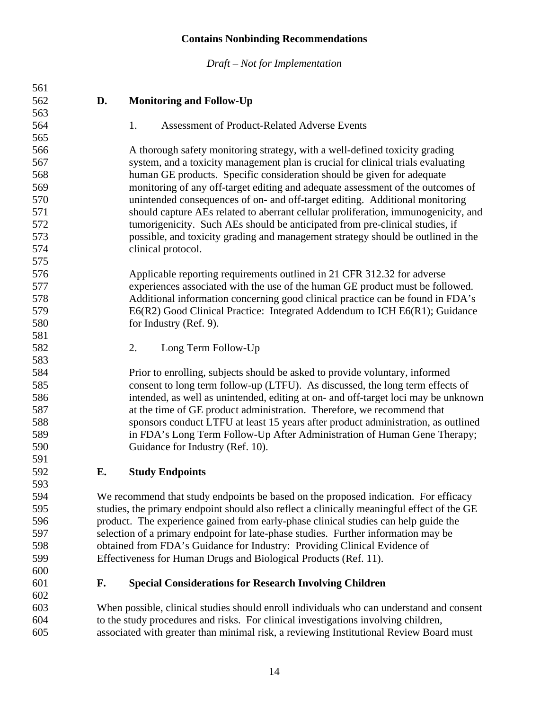*Draft – Not for Implementation*

<span id="page-15-2"></span><span id="page-15-1"></span><span id="page-15-0"></span>

| 561 |    |                                                                                            |
|-----|----|--------------------------------------------------------------------------------------------|
| 562 | D. | <b>Monitoring and Follow-Up</b>                                                            |
| 563 |    |                                                                                            |
| 564 |    | <b>Assessment of Product-Related Adverse Events</b><br>1.                                  |
| 565 |    |                                                                                            |
| 566 |    | A thorough safety monitoring strategy, with a well-defined toxicity grading                |
| 567 |    | system, and a toxicity management plan is crucial for clinical trials evaluating           |
| 568 |    | human GE products. Specific consideration should be given for adequate                     |
| 569 |    | monitoring of any off-target editing and adequate assessment of the outcomes of            |
| 570 |    | unintended consequences of on- and off-target editing. Additional monitoring               |
| 571 |    | should capture AEs related to aberrant cellular proliferation, immunogenicity, and         |
| 572 |    | tumorigenicity. Such AEs should be anticipated from pre-clinical studies, if               |
| 573 |    | possible, and toxicity grading and management strategy should be outlined in the           |
| 574 |    | clinical protocol.                                                                         |
| 575 |    |                                                                                            |
| 576 |    | Applicable reporting requirements outlined in 21 CFR 312.32 for adverse                    |
| 577 |    | experiences associated with the use of the human GE product must be followed.              |
| 578 |    | Additional information concerning good clinical practice can be found in FDA's             |
| 579 |    | E6(R2) Good Clinical Practice: Integrated Addendum to ICH E6(R1); Guidance                 |
| 580 |    | for Industry (Ref. 9).                                                                     |
| 581 |    |                                                                                            |
| 582 |    | 2.<br>Long Term Follow-Up                                                                  |
| 583 |    |                                                                                            |
| 584 |    | Prior to enrolling, subjects should be asked to provide voluntary, informed                |
| 585 |    | consent to long term follow-up (LTFU). As discussed, the long term effects of              |
| 586 |    | intended, as well as unintended, editing at on- and off-target loci may be unknown         |
| 587 |    | at the time of GE product administration. Therefore, we recommend that                     |
| 588 |    | sponsors conduct LTFU at least 15 years after product administration, as outlined          |
| 589 |    | in FDA's Long Term Follow-Up After Administration of Human Gene Therapy;                   |
| 590 |    | Guidance for Industry (Ref. 10).                                                           |
| 591 |    |                                                                                            |
| 592 | Е. | <b>Study Endpoints</b>                                                                     |
| 593 |    |                                                                                            |
| 594 |    | We recommend that study endpoints be based on the proposed indication. For efficacy        |
| 595 |    | studies, the primary endpoint should also reflect a clinically meaningful effect of the GE |
| 596 |    | product. The experience gained from early-phase clinical studies can help guide the        |
| 597 |    | selection of a primary endpoint for late-phase studies. Further information may be         |
| 598 |    | obtained from FDA's Guidance for Industry: Providing Clinical Evidence of                  |
| 599 |    | Effectiveness for Human Drugs and Biological Products (Ref. 11).                           |
| 600 |    |                                                                                            |
| 601 | F. | <b>Special Considerations for Research Involving Children</b>                              |
| 602 |    |                                                                                            |
| 603 |    | When possible, clinical studies should enroll individuals who can understand and consent   |
| 604 |    | to the study procedures and risks. For clinical investigations involving children,         |

<span id="page-15-4"></span><span id="page-15-3"></span>associated with greater than minimal risk, a reviewing Institutional Review Board must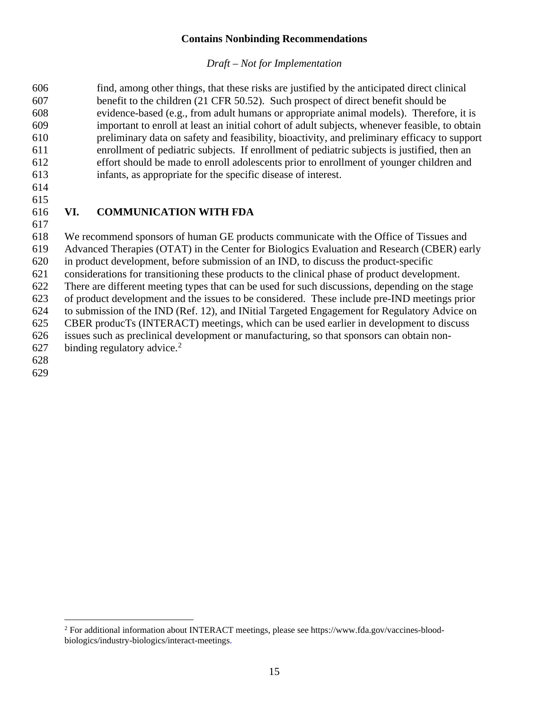#### *Draft – Not for Implementation*

 find, among other things, that these risks are justified by the anticipated direct clinical benefit to the children (21 CFR 50.52). Such prospect of direct benefit should be evidence-based (e.g., from adult humans or appropriate animal models). Therefore, it is important to enroll at least an initial cohort of adult subjects, whenever feasible, to obtain preliminary data on safety and feasibility, bioactivity, and preliminary efficacy to support enrollment of pediatric subjects. If enrollment of pediatric subjects is justified, then an effort should be made to enroll adolescents prior to enrollment of younger children and infants, as appropriate for the specific disease of interest.

 

#### <span id="page-16-0"></span>**VI. COMMUNICATION WITH FDA**

 We recommend sponsors of human GE products communicate with the Office of Tissues and Advanced Therapies (OTAT) in the Center for Biologics Evaluation and Research (CBER) early in product development, before submission of an IND, to discuss the product-specific considerations for transitioning these products to the clinical phase of product development. There are different meeting types that can be used for such discussions, depending on the stage of product development and the issues to be considered. These include pre-IND meetings prior to submission of the IND (Ref. 12), and INitial Targeted Engagement for Regulatory Advice on CBER producTs (INTERACT) meetings, which can be used earlier in development to discuss issues such as preclinical development or manufacturing, so that sponsors can obtain non-[2](#page-16-1)7 binding regulatory advice.

<span id="page-16-1"></span> For additional information about INTERACT meetings, please see https://www.fda.gov/vaccines-bloodbiologics/industry-biologics/interact-meetings.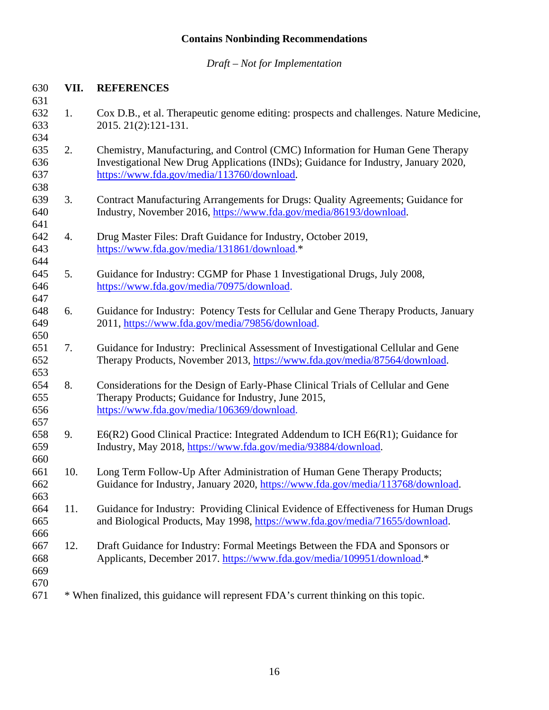*Draft – Not for Implementation*

#### <span id="page-17-0"></span>**VII. REFERENCES**

- 1. Cox D.B., et al. Therapeutic genome editing: prospects and challenges. Nature Medicine, 2015. 21(2):121-131.
- 2. Chemistry, Manufacturing, and Control (CMC) Information for Human Gene Therapy Investigational New Drug Applications (INDs); Guidance for Industry, January 2020, [https://www.fda.gov/media/113760/download.](https://www.fda.gov/media/113760/download)
- 3. Contract Manufacturing Arrangements for Drugs: Quality Agreements; Guidance for Industry, November 2016, [https://www.fda.gov/media/86193/download.](https://www.fda.gov/media/86193/download)
- 4. Drug Master Files: Draft Guidance for Industry, October 2019, [https://www.fda.gov/media/131861/download.](https://www.fda.gov/media/131861/download)\*
- 5. Guidance for Industry: CGMP for Phase 1 Investigational Drugs, July 2008, [https://www.fda.gov/media/70975/download.](https://www.fda.gov/media/70975/download)
- 6. Guidance for Industry: Potency Tests for Cellular and Gene Therapy Products, January 2011, [https://www.fda.gov/media/79856/download.](https://www.fda.gov/media/79856/download)
- 7. Guidance for Industry: Preclinical Assessment of Investigational Cellular and Gene Therapy Products, November 2013, [https://www.fda.gov/media/87564/download.](https://www.fda.gov/media/87564/download)
- 8. Considerations for the Design of Early-Phase Clinical Trials of Cellular and Gene Therapy Products; Guidance for Industry, June 2015, [https://www.fda.gov/media/106369/download.](https://www.fda.gov/media/106369/download)
- 9. E6(R2) Good Clinical Practice: Integrated Addendum to ICH E6(R1); Guidance for Industry, May 2018, [https://www.fda.gov/media/93884/download.](https://www.fda.gov/media/93884/download)
- 10. Long Term Follow-Up After Administration of Human Gene Therapy Products; Guidance for Industry, January 2020, [https://www.fda.gov/media/113768/download.](https://www.fda.gov/media/113768/download)
- 11. Guidance for Industry: Providing Clinical Evidence of Effectiveness for Human Drugs and Biological Products, May 1998, [https://www.fda.gov/media/71655/download.](https://www.fda.gov/media/71655/download)
- 12. Draft Guidance for Industry: Formal Meetings Between the FDA and Sponsors or Applicants, December 2017. [https://www.fda.gov/media/109951/download.](https://www.fda.gov/media/109951/download)\*
- 
- \* When finalized, this guidance will represent FDA's current thinking on this topic.